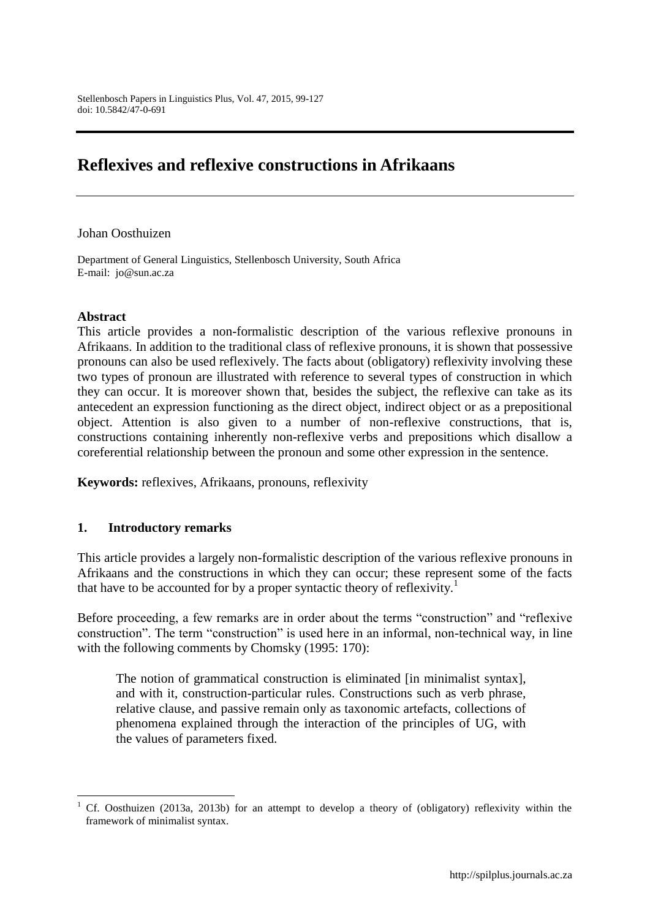# **Reflexives and reflexive constructions in Afrikaans**

#### Johan Oosthuizen

Department of General Linguistics, Stellenbosch University, South Africa E-mail: jo@sun.ac.za

#### **Abstract**

 $\overline{a}$ 

This article provides a non-formalistic description of the various reflexive pronouns in Afrikaans. In addition to the traditional class of reflexive pronouns, it is shown that possessive pronouns can also be used reflexively. The facts about (obligatory) reflexivity involving these two types of pronoun are illustrated with reference to several types of construction in which they can occur. It is moreover shown that, besides the subject, the reflexive can take as its antecedent an expression functioning as the direct object, indirect object or as a prepositional object. Attention is also given to a number of non-reflexive constructions, that is, constructions containing inherently non-reflexive verbs and prepositions which disallow a coreferential relationship between the pronoun and some other expression in the sentence.

**Keywords:** reflexives, Afrikaans, pronouns, reflexivity

#### **1. Introductory remarks**

This article provides a largely non-formalistic description of the various reflexive pronouns in Afrikaans and the constructions in which they can occur; these represent some of the facts that have to be accounted for by a proper syntactic theory of reflexivity.<sup>1</sup>

Before proceeding, a few remarks are in order about the terms "construction" and "reflexive construction". The term "construction" is used here in an informal, non-technical way, in line with the following comments by Chomsky (1995: 170):

The notion of grammatical construction is eliminated [in minimalist syntax], and with it, construction-particular rules. Constructions such as verb phrase, relative clause, and passive remain only as taxonomic artefacts, collections of phenomena explained through the interaction of the principles of UG, with the values of parameters fixed.

<sup>1</sup> Cf. Oosthuizen (2013a, 2013b) for an attempt to develop a theory of (obligatory) reflexivity within the framework of minimalist syntax.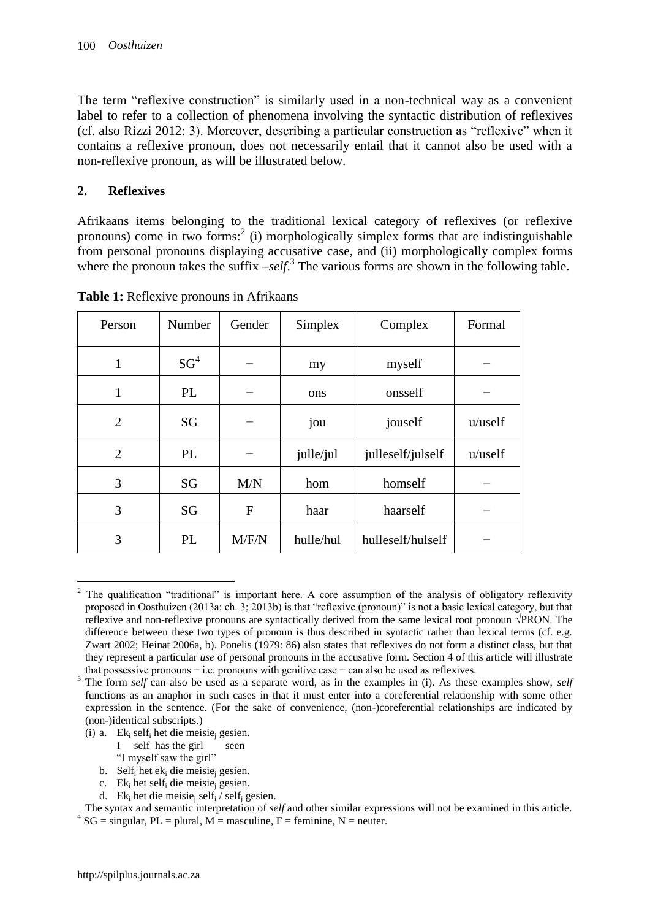The term "reflexive construction" is similarly used in a non-technical way as a convenient label to refer to a collection of phenomena involving the syntactic distribution of reflexives (cf. also Rizzi 2012: 3). Moreover, describing a particular construction as "reflexive" when it contains a reflexive pronoun, does not necessarily entail that it cannot also be used with a non-reflexive pronoun, as will be illustrated below.

## **2. Reflexives**

Afrikaans items belonging to the traditional lexical category of reflexives (or reflexive pronouns) come in two forms:<sup>2</sup> (i) morphologically simplex forms that are indistinguishable from personal pronouns displaying accusative case, and (ii) morphologically complex forms where the pronoun takes the suffix –*self*.<sup>3</sup> The various forms are shown in the following table.

| Person         | Number          | Gender | Simplex   | Complex           | Formal     |
|----------------|-----------------|--------|-----------|-------------------|------------|
| 1              | SG <sup>4</sup> |        | my        | myself            |            |
| $\mathbf{1}$   | <b>PL</b>       |        | ons       | onsself           |            |
| $\overline{2}$ | SG              |        | jou       | jouself           | $u$ /uself |
| $\overline{2}$ | <b>PL</b>       |        | julle/jul | julleself/julself | $u$ /uself |
| 3              | SG              | M/N    | hom       | homself           |            |
| 3              | SG              | F      | haar      | haarself          |            |
| 3              | PL              | M/F/N  | hulle/hul | hulleself/hulself |            |

**Table 1:** Reflexive pronouns in Afrikaans

- I self has the girl seen
- "I myself saw the girl"
- b. Self<sub>i</sub> het ek<sub>i</sub> die meisie<sub>i</sub> gesien.
- c. Ek<sup>i</sup> het self<sup>i</sup> die meisie<sup>j</sup> gesien.
- d. Ek<sub>i</sub> het die meisie<sub>i</sub> self<sub>i</sub> / self<sub>i</sub> gesien.

The syntax and semantic interpretation of *self* and other similar expressions will not be examined in this article.  $^{4}$  SG = singular, PL = plural, M = masculine, F = feminine, N = neuter.

 $\overline{a}$ <sup>2</sup> The qualification "traditional" is important here. A core assumption of the analysis of obligatory reflexivity proposed in Oosthuizen (2013a: ch. 3; 2013b) is that "reflexive (pronoun)" is not a basic lexical category, but that reflexive and non-reflexive pronouns are syntactically derived from the same lexical root pronoun √PRON. The difference between these two types of pronoun is thus described in syntactic rather than lexical terms (cf. e.g. Zwart 2002; Heinat 2006a, b). Ponelis (1979: 86) also states that reflexives do not form a distinct class, but that they represent a particular *use* of personal pronouns in the accusative form. Section 4 of this article will illustrate that possessive pronouns − i.e. pronouns with genitive case − can also be used as reflexives.

<sup>3</sup> The form *self* can also be used as a separate word, as in the examples in (i). As these examples show, *self* functions as an anaphor in such cases in that it must enter into a coreferential relationship with some other expression in the sentence. (For the sake of convenience, (non-)coreferential relationships are indicated by (non-)identical subscripts.)

<sup>(</sup>i) a. Ek<sub>i</sub> self<sub>i</sub> het die meisie<sub>i</sub> gesien.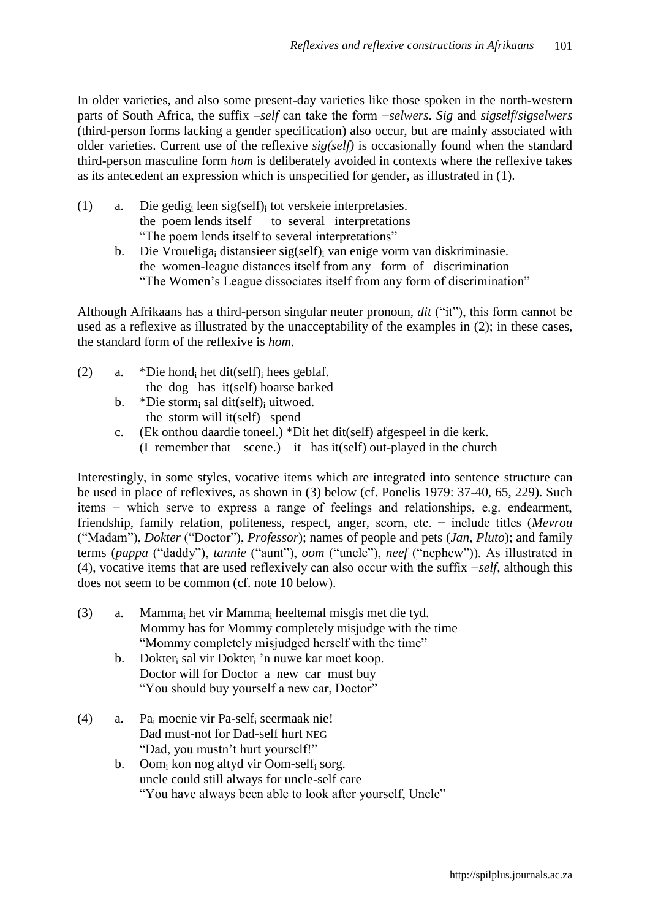In older varieties, and also some present-day varieties like those spoken in the north-western parts of South Africa, the suffix –*self* can take the form −*selwers*. *Sig* and *sigself*/*sigselwers*  (third-person forms lacking a gender specification) also occur, but are mainly associated with older varieties. Current use of the reflexive *sig(self)* is occasionally found when the standard third-person masculine form *hom* is deliberately avoided in contexts where the reflexive takes as its antecedent an expression which is unspecified for gender, as illustrated in (1).

- (1) a. Die gedig<sub>i</sub> leen sig(self)<sub>i</sub> tot verskeie interpretasies.<br>the poem lends itself to several interpretations to several interpretations "The poem lends itself to several interpretations"
	- b. Die Vroueliga<sub>i</sub> distansieer sig(self)<sub>i</sub> van enige vorm van diskriminasie. the women-league distances itself from any form of discrimination "The Women"s League dissociates itself from any form of discrimination"

Although Afrikaans has a third-person singular neuter pronoun, *dit* ("it"), this form cannot be used as a reflexive as illustrated by the unacceptability of the examples in (2); in these cases, the standard form of the reflexive is *hom*.

- (2) a. \*Die hondi het dit(self) hees geblaf. the dog has it(self) hoarse barked
	- b. \*Die stormi sal dit(self) uitwoed. the storm will it(self) spend
	- c. (Ek onthou daardie toneel.) \*Dit het dit(self) afgespeel in die kerk. (I remember that scene.) it has it(self) out-played in the church

Interestingly, in some styles, vocative items which are integrated into sentence structure can be used in place of reflexives, as shown in (3) below (cf. Ponelis 1979: 37-40, 65, 229). Such items − which serve to express a range of feelings and relationships, e.g. endearment, friendship, family relation, politeness, respect, anger, scorn, etc. − include titles (*Mevrou* ("Madam"), *Dokter* ("Doctor"), *Professor*); names of people and pets (*Jan*, *Pluto*); and family terms (*pappa* ("daddy"), *tannie* ("aunt"), *oom* ("uncle"), *neef* ("nephew")). As illustrated in (4), vocative items that are used reflexively can also occur with the suffix −*self*, although this does not seem to be common (cf. note 10 below).

- (3) a. Mamma<sub>i</sub> het vir Mamma<sub>i</sub> heeltemal misgis met die tyd. Mommy has for Mommy completely misjudge with the time "Mommy completely misjudged herself with the time"
	- b. Dokter<sub>i</sub> sal vir Dokter<sub>i</sub> 'n nuwe kar moet koop. Doctor will for Doctor a new car must buy "You should buy yourself a new car, Doctor"
- (4) a. Pa<sup>i</sup> moenie vir Pa-self<sup>i</sup> seermaak nie! Dad must-not for Dad-self hurt NEG "Dad, you mustn"t hurt yourself!"
	- b. Oom<sub>i</sub> kon nog altyd vir Oom-self<sub>i</sub> sorg. uncle could still always for uncle-self care "You have always been able to look after yourself, Uncle"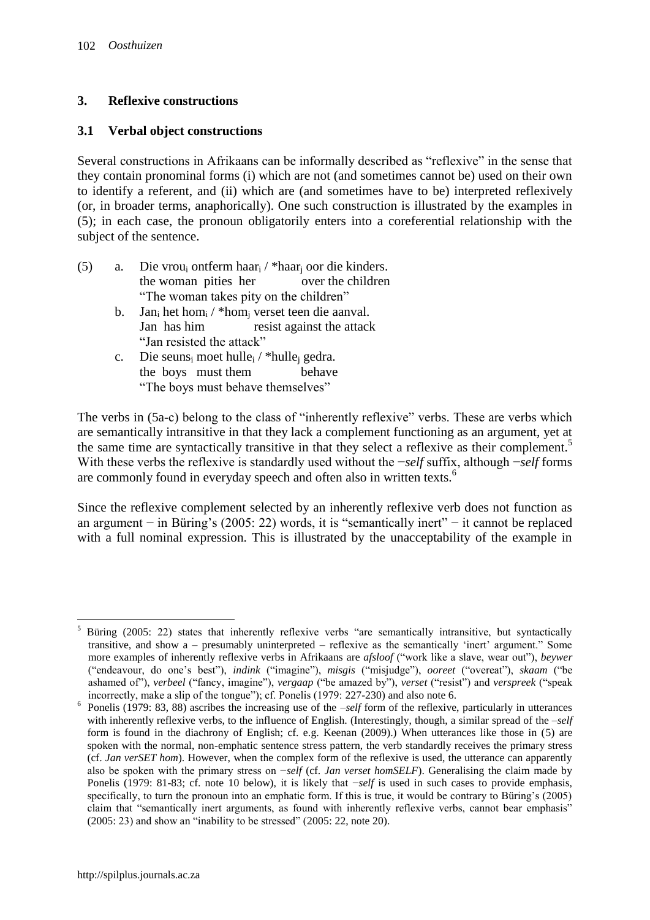## **3. Reflexive constructions**

#### **3.1 Verbal object constructions**

Several constructions in Afrikaans can be informally described as "reflexive" in the sense that they contain pronominal forms (i) which are not (and sometimes cannot be) used on their own to identify a referent, and (ii) which are (and sometimes have to be) interpreted reflexively (or, in broader terms, anaphorically). One such construction is illustrated by the examples in (5); in each case, the pronoun obligatorily enters into a coreferential relationship with the subject of the sentence.

- (5) a. Die vrou<sup>i</sup> ontferm haar<sup>i</sup> / \*haar<sup>j</sup> oor die kinders. the woman pities her over the children "The woman takes pity on the children"
	- b. Jan<sub>i</sub> het hom<sub>i</sub> / \*hom<sub>i</sub> verset teen die aanval. Jan has him resist against the attack "Jan resisted the attack"
	- c. Die seuns<sub>i</sub> moet hulle<sub>i</sub> / \*hulle<sub>i</sub> gedra. the boys must them behave "The boys must behave themselves"

The verbs in (5a-c) belong to the class of "inherently reflexive" verbs. These are verbs which are semantically intransitive in that they lack a complement functioning as an argument, yet at the same time are syntactically transitive in that they select a reflexive as their complement.<sup>5</sup> With these verbs the reflexive is standardly used without the −*self* suffix, although −*self* forms are commonly found in everyday speech and often also in written texts.<sup>6</sup>

Since the reflexive complement selected by an inherently reflexive verb does not function as an argument − in Büring"s (2005: 22) words, it is "semantically inert" − it cannot be replaced with a full nominal expression. This is illustrated by the unacceptability of the example in

 $\overline{a}$ <sup>5</sup> Büring (2005: 22) states that inherently reflexive verbs "are semantically intransitive, but syntactically transitive, and show a – presumably uninterpreted – reflexive as the semantically "inert" argument." Some more examples of inherently reflexive verbs in Afrikaans are *afsloof* ("work like a slave, wear out"), *beywer* ("endeavour, do one"s best"), *indink* ("imagine"), *misgis* ("misjudge"), *ooreet* ("overeat"), *skaam* ("be ashamed of"), *verbeel* ("fancy, imagine"), *vergaap* ("be amazed by"), *verset* ("resist") and *verspreek* ("speak incorrectly, make a slip of the tongue"); cf. Ponelis (1979: 227-230) and also note 6.

<sup>6</sup> Ponelis (1979: 83, 88) ascribes the increasing use of the –*self* form of the reflexive, particularly in utterances with inherently reflexive verbs, to the influence of English. (Interestingly, though, a similar spread of the  $-self$ form is found in the diachrony of English; cf. e.g. Keenan (2009).) When utterances like those in (5) are spoken with the normal, non-emphatic sentence stress pattern, the verb standardly receives the primary stress (cf. *Jan verSET hom*). However, when the complex form of the reflexive is used, the utterance can apparently also be spoken with the primary stress on −*self* (cf. *Jan verset homSELF*). Generalising the claim made by Ponelis (1979: 81-83; cf. note 10 below), it is likely that −*self* is used in such cases to provide emphasis, specifically, to turn the pronoun into an emphatic form. If this is true, it would be contrary to Büring's  $(2005)$ claim that "semantically inert arguments, as found with inherently reflexive verbs, cannot bear emphasis" (2005: 23) and show an "inability to be stressed" (2005: 22, note 20).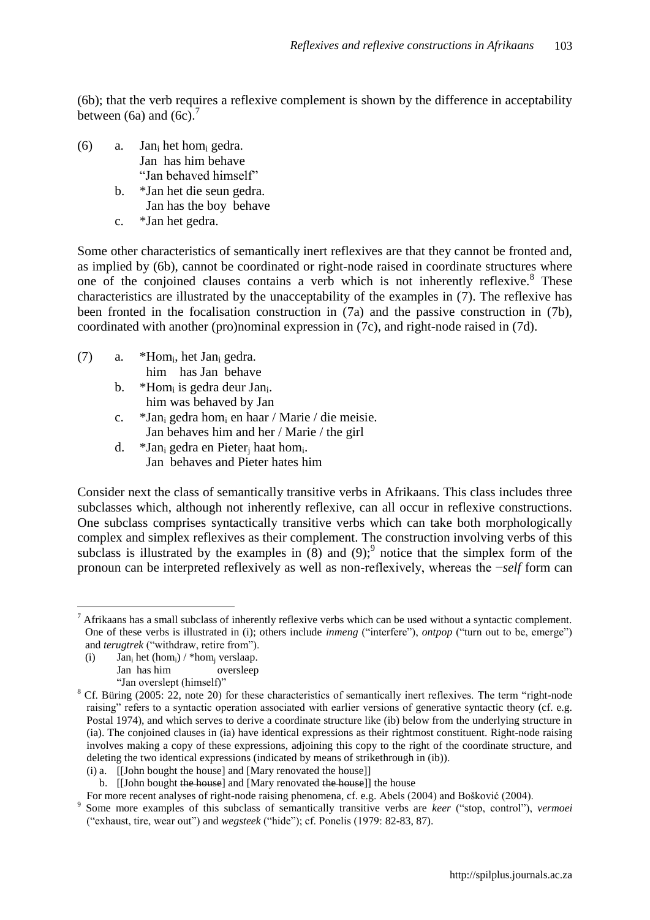(6b); that the verb requires a reflexive complement is shown by the difference in acceptability between (6a) and (6c).<sup>7</sup>

- (6) a. Jan<sub>i</sub> het hom<sub>i</sub> gedra. Jan has him behave "Jan behaved himself"
	- b. \*Jan het die seun gedra. Jan has the boy behave
	- c. \*Jan het gedra.

Some other characteristics of semantically inert reflexives are that they cannot be fronted and, as implied by (6b), cannot be coordinated or right-node raised in coordinate structures where one of the conjoined clauses contains a verb which is not inherently reflexive.<sup>8</sup> These characteristics are illustrated by the unacceptability of the examples in (7). The reflexive has been fronted in the focalisation construction in (7a) and the passive construction in (7b), coordinated with another (pro)nominal expression in (7c), and right-node raised in (7d).

(7) a. \*Hom<sub>i</sub>, het Jan<sub>i</sub> gedra.

him has Jan behave

- b.  $*Hom_i$  is gedra deur Jan. him was behaved by Jan
- c. \*Jan<sub>i</sub> gedra hom<sub>i</sub> en haar / Marie / die meisie. Jan behaves him and her / Marie / the girl
- d. \*Jan<sub>i</sub> gedra en Pieter<sub>j</sub> haat hom<sub>i</sub>. Jan behaves and Pieter hates him

Consider next the class of semantically transitive verbs in Afrikaans. This class includes three subclasses which, although not inherently reflexive, can all occur in reflexive constructions. One subclass comprises syntactically transitive verbs which can take both morphologically complex and simplex reflexives as their complement. The construction involving verbs of this subclass is illustrated by the examples in  $(8)$  and  $(9)$ ;<sup>9</sup> notice that the simplex form of the pronoun can be interpreted reflexively as well as non-reflexively, whereas the −*self* form can

(i) Jan<sub>i</sub> het (hom<sub>i</sub>) / \*hom<sub>i</sub> verslaap. Jan has him oversleep "Jan overslept (himself)"

 $\overline{a}$ 

(i) a. [[John bought the house] and [Mary renovated the house]]

b. [John bought the house] and [Mary renovated the house]] the house

 $<sup>7</sup>$  Afrikaans has a small subclass of inherently reflexive verbs which can be used without a syntactic complement.</sup> One of these verbs is illustrated in (i); others include *inmeng* ("interfere"), *ontpop* ("turn out to be, emerge") and *terugtrek* ("withdraw, retire from").

<sup>&</sup>lt;sup>8</sup> Cf. Büring (2005: 22, note 20) for these characteristics of semantically inert reflexives. The term "right-node raising" refers to a syntactic operation associated with earlier versions of generative syntactic theory (cf. e.g. Postal 1974), and which serves to derive a coordinate structure like (ib) below from the underlying structure in (ia). The conjoined clauses in (ia) have identical expressions as their rightmost constituent. Right-node raising involves making a copy of these expressions, adjoining this copy to the right of the coordinate structure, and deleting the two identical expressions (indicated by means of strikethrough in (ib)).

For more recent analyses of right-node raising phenomena, cf. e.g. Abels (2004) and Bošković (2004).

<sup>9</sup> Some more examples of this subclass of semantically transitive verbs are *keer* ("stop, control"), *vermoei* ("exhaust, tire, wear out") and *wegsteek* ("hide"); cf. Ponelis (1979: 82-83, 87).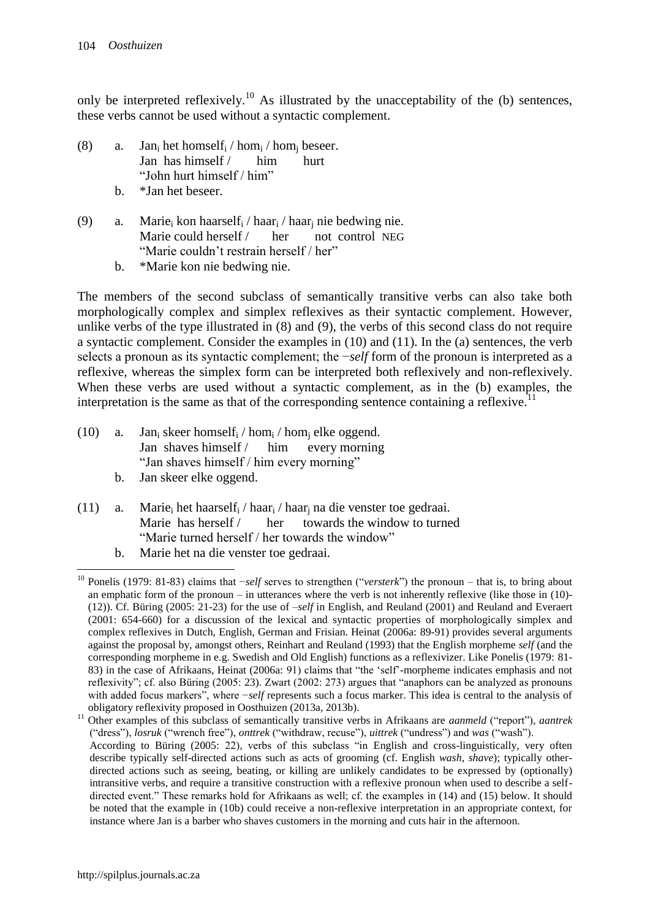only be interpreted reflexively.<sup>10</sup> As illustrated by the unacceptability of the (b) sentences, these verbs cannot be used without a syntactic complement.

- (8) a. Jan<sub>i</sub> het homself<sub>i</sub> / hom<sub>i</sub> / hom<sub>i</sub> beseer. Jan has himself / him hurt "John hurt himself / him"
	- b. \*Jan het beseer.
- (9) a. Marie<sub>i</sub> kon haarself<sub>i</sub> / haar<sub>i</sub> / haar<sub>i</sub> nie bedwing nie. Marie could herself / her not control NEG "Marie couldn"t restrain herself / her"
	- b. \*Marie kon nie bedwing nie.

The members of the second subclass of semantically transitive verbs can also take both morphologically complex and simplex reflexives as their syntactic complement. However, unlike verbs of the type illustrated in (8) and (9), the verbs of this second class do not require a syntactic complement. Consider the examples in (10) and (11). In the (a) sentences, the verb selects a pronoun as its syntactic complement; the *−self* form of the pronoun is interpreted as a reflexive, whereas the simplex form can be interpreted both reflexively and non-reflexively. When these verbs are used without a syntactic complement, as in the (b) examples, the interpretation is the same as that of the corresponding sentence containing a reflexive.<sup>11</sup>

- (10) a. Jan<sub>i</sub> skeer homself<sub>i</sub> / hom<sub>i</sub> / hom<sub>i</sub> elke oggend. Jan shaves himself / him every morning "Jan shaves himself / him every morning"
	- b. Jan skeer elke oggend.
- (11) a. Marie<sub>i</sub> het haarself<sub>i</sub> / haar<sub>i</sub> / haar<sub>i</sub> na die venster toe gedraai. Marie has herself / her towards the window to turned "Marie turned herself / her towards the window"
	- b. Marie het na die venster toe gedraai.

 $\overline{a}$ <sup>10</sup> Ponelis (1979: 81-83) claims that −*self* serves to strengthen ("*versterk*") the pronoun – that is, to bring about an emphatic form of the pronoun – in utterances where the verb is not inherently reflexive (like those in (10)- (12)). Cf. Büring (2005: 21-23) for the use of –*self* in English, and Reuland (2001) and Reuland and Everaert (2001: 654-660) for a discussion of the lexical and syntactic properties of morphologically simplex and complex reflexives in Dutch, English, German and Frisian. Heinat (2006a: 89-91) provides several arguments against the proposal by, amongst others, Reinhart and Reuland (1993) that the English morpheme *self* (and the corresponding morpheme in e.g. Swedish and Old English) functions as a reflexivizer. Like Ponelis (1979: 81- 83) in the case of Afrikaans, Heinat (2006a: 91) claims that "the "self"-morpheme indicates emphasis and not reflexivity"; cf. also Büring (2005: 23). Zwart (2002: 273) argues that "anaphors can be analyzed as pronouns with added focus markers", where −*self* represents such a focus marker. This idea is central to the analysis of obligatory reflexivity proposed in Oosthuizen (2013a, 2013b).

<sup>11</sup> Other examples of this subclass of semantically transitive verbs in Afrikaans are *aanmeld* ("report"), *aantrek* ("dress"), *losruk* ("wrench free"), *onttrek* ("withdraw, recuse"), *uittrek* ("undress") and *was* ("wash").

According to Büring (2005: 22), verbs of this subclass "in English and cross-linguistically, very often describe typically self-directed actions such as acts of grooming (cf. English *wash*, *shave*); typically otherdirected actions such as seeing, beating, or killing are unlikely candidates to be expressed by (optionally) intransitive verbs, and require a transitive construction with a reflexive pronoun when used to describe a selfdirected event." These remarks hold for Afrikaans as well; cf. the examples in (14) and (15) below. It should be noted that the example in (10b) could receive a non-reflexive interpretation in an appropriate context, for instance where Jan is a barber who shaves customers in the morning and cuts hair in the afternoon.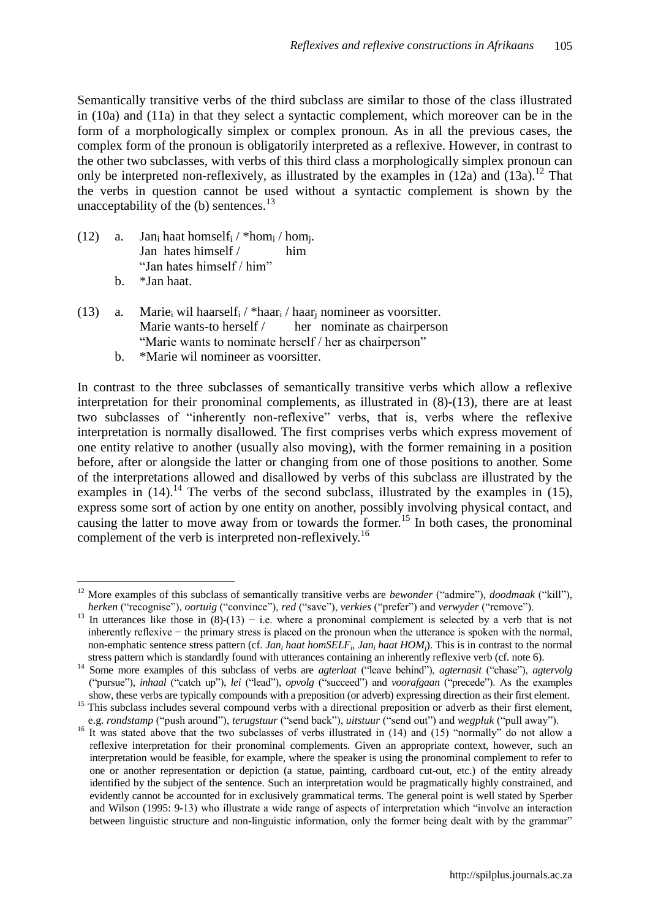Semantically transitive verbs of the third subclass are similar to those of the class illustrated in (10a) and (11a) in that they select a syntactic complement, which moreover can be in the form of a morphologically simplex or complex pronoun. As in all the previous cases, the complex form of the pronoun is obligatorily interpreted as a reflexive. However, in contrast to the other two subclasses, with verbs of this third class a morphologically simplex pronoun can only be interpreted non-reflexively, as illustrated by the examples in  $(12a)$  and  $(13a)$ .<sup>12</sup> That the verbs in question cannot be used without a syntactic complement is shown by the unacceptability of the  $(b)$  sentences.<sup>13</sup>

- (12) a. Jan<sub>i</sub> haat homself<sub>i</sub> / \*hom<sub>i</sub> / hom<sub>i</sub>. Jan hates himself / him "Jan hates himself / him" b. \*Jan haat.
- (13) a. Marie<sub>i</sub> wil haarself<sub>i</sub> / \*haar<sub>i</sub> / haar<sub>i</sub> nomineer as voorsitter. Marie wants-to herself / her nominate as chairperson "Marie wants to nominate herself / her as chairperson"
	- b. \*Marie wil nomineer as voorsitter.

In contrast to the three subclasses of semantically transitive verbs which allow a reflexive interpretation for their pronominal complements, as illustrated in (8)-(13), there are at least two subclasses of "inherently non-reflexive" verbs, that is, verbs where the reflexive interpretation is normally disallowed. The first comprises verbs which express movement of one entity relative to another (usually also moving), with the former remaining in a position before, after or alongside the latter or changing from one of those positions to another. Some of the interpretations allowed and disallowed by verbs of this subclass are illustrated by the examples in  $(14)$ .<sup>14</sup> The verbs of the second subclass, illustrated by the examples in (15), express some sort of action by one entity on another, possibly involving physical contact, and causing the latter to move away from or towards the former.<sup>15</sup> In both cases, the pronominal complement of the verb is interpreted non-reflexively.<sup>16</sup>

 $\overline{a}$ <sup>12</sup> More examples of this subclass of semantically transitive verbs are *bewonder* ("admire"), *doodmaak* ("kill"), *herken* ("recognise"), *oortuig* ("convince"), *red* ("save"), *verkies* ("prefer") and *verwyder* ("remove").

<sup>13</sup> In utterances like those in  $(8)$ -(13) – i.e. where a pronominal complement is selected by a verb that is not inherently reflexive − the primary stress is placed on the pronoun when the utterance is spoken with the normal, non-emphatic sentence stress pattern (cf. *Jan<sup>i</sup> haat homSELF<sup>i</sup>* , *Jan<sup>i</sup> haat HOMj*). This is in contrast to the normal stress pattern which is standardly found with utterances containing an inherently reflexive verb (cf. note 6).

<sup>14</sup> Some more examples of this subclass of verbs are *agterlaat* ("leave behind"), *agternasit* ("chase"), *agtervolg* ("pursue"), *inhaal* ("catch up"), *lei* ("lead"), *opvolg* ("succeed") and *voorafgaan* ("precede"). As the examples show, these verbs are typically compounds with a preposition (or adverb) expressing direction as their first element.

<sup>&</sup>lt;sup>15</sup> This subclass includes several compound verbs with a directional preposition or adverb as their first element, e.g. *rondstamp* ("push around"), *terugstuur* ("send back"), *uitstuur* ("send out") and *wegpluk* ("pull away").

<sup>&</sup>lt;sup>16</sup> It was stated above that the two subclasses of verbs illustrated in (14) and (15) "normally" do not allow a reflexive interpretation for their pronominal complements. Given an appropriate context, however, such an interpretation would be feasible, for example, where the speaker is using the pronominal complement to refer to one or another representation or depiction (a statue, painting, cardboard cut-out, etc.) of the entity already identified by the subject of the sentence. Such an interpretation would be pragmatically highly constrained, and evidently cannot be accounted for in exclusively grammatical terms. The general point is well stated by Sperber and Wilson (1995: 9-13) who illustrate a wide range of aspects of interpretation which "involve an interaction between linguistic structure and non-linguistic information, only the former being dealt with by the grammar"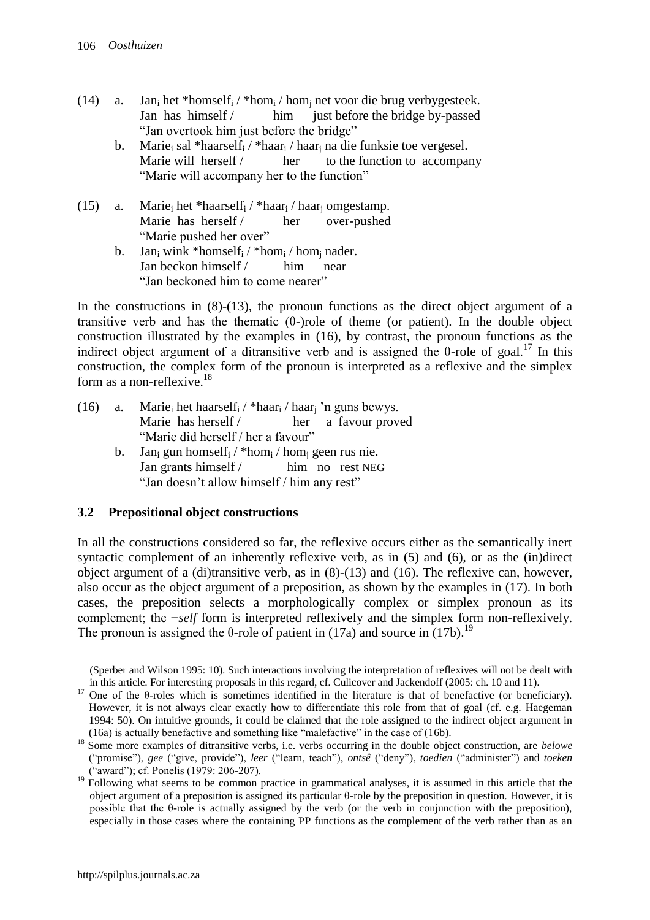- (14) a. Jan<sub>i</sub> het \*homself<sub>i</sub> / \*hom<sub>i</sub> / hom<sub>i</sub> net voor die brug verbygesteek. Jan has himself / him just before the bridge by-passed "Jan overtook him just before the bridge"
	- b. Marie<sub>i</sub> sal \*haarself<sub>i</sub> / \*haar<sub>i</sub> / haar<sub>i</sub> na die funksie toe vergesel. Marie will herself / her to the function to accompany "Marie will accompany her to the function"
- (15) a. Marie<sub>i</sub> het \*haarself<sub>i</sub> / \*haar<sub>i</sub> / haar<sub>i</sub> omgestamp. Marie has herself / her over-pushed "Marie pushed her over"
	- b. Jan<sub>i</sub> wink \*homself<sub>i</sub> / \*hom<sub>i</sub> / hom<sub>i</sub> nader. Jan beckon himself / him near "Jan beckoned him to come nearer"

In the constructions in (8)-(13), the pronoun functions as the direct object argument of a transitive verb and has the thematic (θ-)role of theme (or patient). In the double object construction illustrated by the examples in (16), by contrast, the pronoun functions as the indirect object argument of a ditransitive verb and is assigned the  $\theta$ -role of goal.<sup>17</sup> In this construction, the complex form of the pronoun is interpreted as a reflexive and the simplex form as a non-reflexive.<sup>18</sup>

- (16) a. Marie<sub>i</sub> het haarself<sub>i</sub> / \*haar<sub>i</sub> / haar<sub>i</sub> 'n guns bewys. Marie has herself / her a favour proved "Marie did herself / her a favour"
	- b. Jan<sub>i</sub> gun homself<sub>i</sub> / \*hom<sub>i</sub> / hom<sub>i</sub> geen rus nie. Jan grants himself / him no rest NEG "Jan doesn't allow himself / him any rest"

### **3.2 Prepositional object constructions**

In all the constructions considered so far, the reflexive occurs either as the semantically inert syntactic complement of an inherently reflexive verb, as in (5) and (6), or as the (in)direct object argument of a (di)transitive verb, as in (8)-(13) and (16). The reflexive can, however, also occur as the object argument of a preposition, as shown by the examples in (17). In both cases, the preposition selects a morphologically complex or simplex pronoun as its complement; the −*self* form is interpreted reflexively and the simplex form non-reflexively. The pronoun is assigned the  $\theta$ -role of patient in (17a) and source in (17b).<sup>19</sup>

 $\overline{a}$ 

<sup>(</sup>Sperber and Wilson 1995: 10). Such interactions involving the interpretation of reflexives will not be dealt with in this article. For interesting proposals in this regard, cf. Culicover and Jackendoff (2005: ch. 10 and 11).

<sup>17</sup> One of the θ-roles which is sometimes identified in the literature is that of benefactive (or beneficiary). However, it is not always clear exactly how to differentiate this role from that of goal (cf. e.g. Haegeman 1994: 50). On intuitive grounds, it could be claimed that the role assigned to the indirect object argument in (16a) is actually benefactive and something like "malefactive" in the case of (16b).

<sup>&</sup>lt;sup>18</sup> Some more examples of ditransitive verbs, i.e. verbs occurring in the double object construction, are *belowe* ("promise"), *gee* ("give, provide"), *leer* ("learn, teach"), *ontsê* ("deny"), *toedien* ("administer") and *toeken* ("award"); cf. Ponelis (1979: 206-207).

<sup>&</sup>lt;sup>19</sup> Following what seems to be common practice in grammatical analyses, it is assumed in this article that the object argument of a preposition is assigned its particular θ-role by the preposition in question. However, it is possible that the  $\theta$ -role is actually assigned by the verb (or the verb in conjunction with the preposition), especially in those cases where the containing PP functions as the complement of the verb rather than as an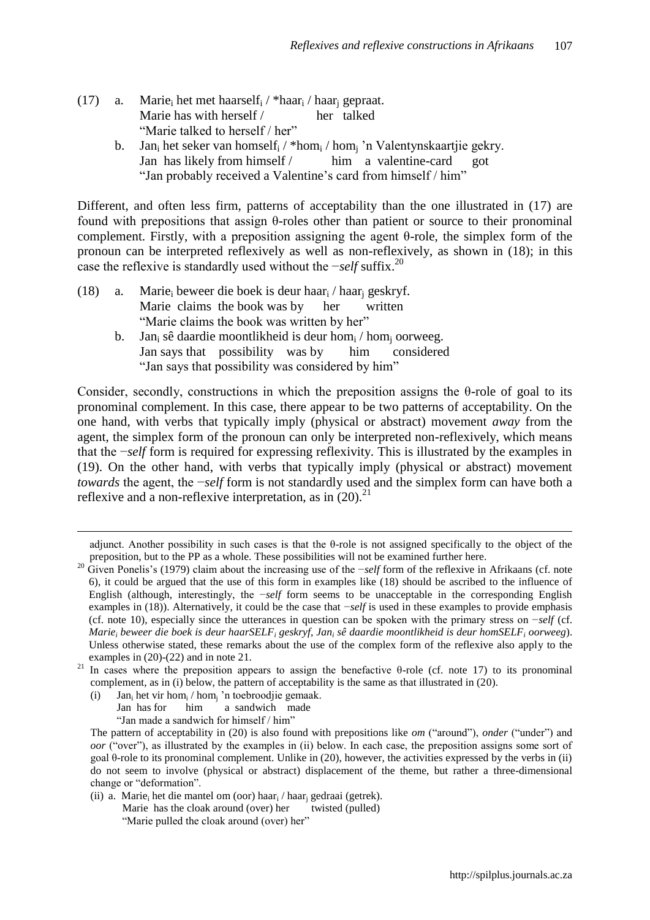- (17) a. Marie<sub>i</sub> het met haarself<sub>i</sub> / \*haar<sub>i</sub> / haar<sub>i</sub> gepraat. Marie has with herself / her talked "Marie talked to herself / her"
	- b. Jan<sub>i</sub> het seker van homself<sub>i</sub> / \*hom<sub>i</sub> / hom<sub>i</sub> 'n Valentynskaartjie gekry. Jan has likely from himself / him a valentine-card got "Jan probably received a Valentine's card from himself / him"

Different, and often less firm, patterns of acceptability than the one illustrated in (17) are found with prepositions that assign θ-roles other than patient or source to their pronominal complement. Firstly, with a preposition assigning the agent θ-role, the simplex form of the pronoun can be interpreted reflexively as well as non-reflexively, as shown in (18); in this case the reflexive is standardly used without the −*self* suffix.<sup>20</sup>

- (18) a. Marie<sub>i</sub> beweer die boek is deur haar<sub>i</sub> / haar<sub>i</sub> geskryf. Marie claims the book was by her written "Marie claims the book was written by her"
	- b. Jan<sub>i</sub> sê daardie moontlikheid is deur hom<sub>i</sub> / hom<sub>i</sub> oorweeg. Jan says that possibility was by him considered "Jan says that possibility was considered by him"

Consider, secondly, constructions in which the preposition assigns the  $\theta$ -role of goal to its pronominal complement. In this case, there appear to be two patterns of acceptability. On the one hand, with verbs that typically imply (physical or abstract) movement *away* from the agent, the simplex form of the pronoun can only be interpreted non-reflexively, which means that the −*self* form is required for expressing reflexivity. This is illustrated by the examples in (19). On the other hand, with verbs that typically imply (physical or abstract) movement *towards* the agent, the −*self* form is not standardly used and the simplex form can have both a reflexive and a non-reflexive interpretation, as in  $(20)^{21}$ 

(i) Jan<sub>i</sub> het vir hom<sub>i</sub> / hom<sub>j</sub> 'n toebroodjie gemaak.

 $\overline{a}$ 

Jan has for him a sandwich made

"Jan made a sandwich for himself / him"

(ii) a. Marie<sub>i</sub> het die mantel om (oor) haar<sub>i</sub> / haar<sub>i</sub> gedraai (getrek).

Marie has the cloak around (over) her twisted (pulled) "Marie pulled the cloak around (over) her"

adjunct. Another possibility in such cases is that the  $\theta$ -role is not assigned specifically to the object of the preposition, but to the PP as a whole. These possibilities will not be examined further here.

<sup>20</sup> Given Ponelis"s (1979) claim about the increasing use of the −*self* form of the reflexive in Afrikaans (cf. note 6), it could be argued that the use of this form in examples like (18) should be ascribed to the influence of English (although, interestingly, the −*self* form seems to be unacceptable in the corresponding English examples in (18)). Alternatively, it could be the case that −*self* is used in these examples to provide emphasis (cf. note 10), especially since the utterances in question can be spoken with the primary stress on −*self* (cf. *Marie<sup>i</sup> beweer die boek is deur haarSELF<sup>i</sup> geskryf*, *Jan<sup>i</sup> sê daardie moontlikheid is deur homSELF<sup>i</sup> oorweeg*). Unless otherwise stated, these remarks about the use of the complex form of the reflexive also apply to the examples in (20)-(22) and in note 21.

<sup>&</sup>lt;sup>21</sup> In cases where the preposition appears to assign the benefactive θ-role (cf. note 17) to its pronominal complement, as in (i) below, the pattern of acceptability is the same as that illustrated in (20).

The pattern of acceptability in (20) is also found with prepositions like *om* ("around"), *onder* ("under") and *oor* ("over"), as illustrated by the examples in (ii) below. In each case, the preposition assigns some sort of goal θ-role to its pronominal complement. Unlike in (20), however, the activities expressed by the verbs in (ii) do not seem to involve (physical or abstract) displacement of the theme, but rather a three-dimensional change or "deformation".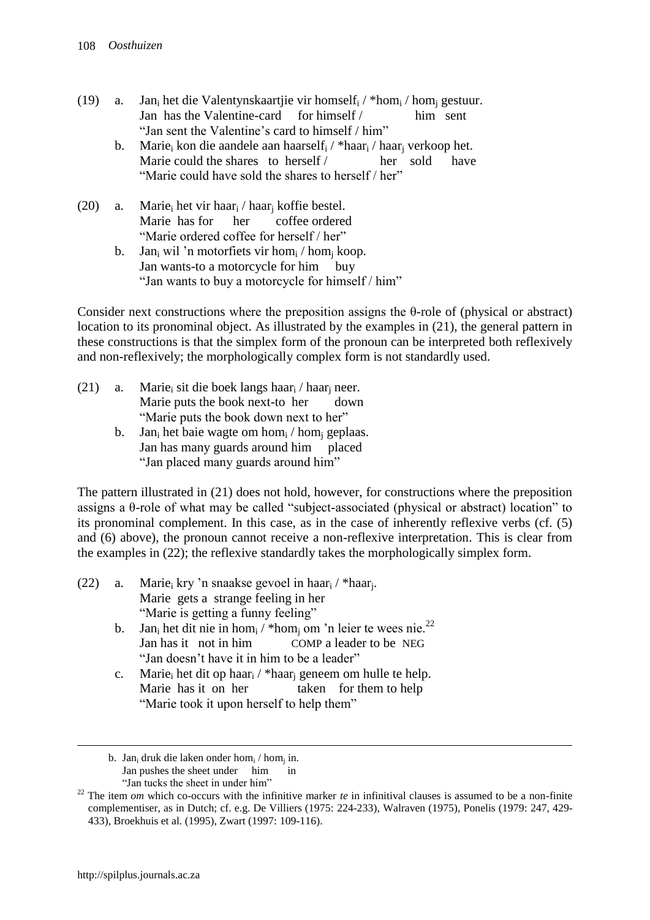- (19) a. Jan<sub>i</sub> het die Valentynskaartjie vir homself<sub>i</sub> / \*hom<sub>i</sub> / hom<sub>i</sub> gestuur. Jan has the Valentine-card for himself / him sent "Jan sent the Valentine's card to himself / him"
	- b. Marie<sub>i</sub> kon die aandele aan haarself<sub>i</sub> / \*haar<sub>i</sub> / haar<sub>i</sub> verkoop het. Marie could the shares to herself / her sold have "Marie could have sold the shares to herself / her"
- (20) a. Marie<sub>i</sub> het vir haar<sub>i</sub> / haar<sub>i</sub> koffie bestel. Marie has for her coffee ordered "Marie ordered coffee for herself / her"
	- b. Jan<sub>i</sub> wil 'n motorfiets vir hom<sub>i</sub> / hom<sub>i</sub> koop. Jan wants-to a motorcycle for him buy "Jan wants to buy a motorcycle for himself / him"

Consider next constructions where the preposition assigns the  $\theta$ -role of (physical or abstract) location to its pronominal object. As illustrated by the examples in (21), the general pattern in these constructions is that the simplex form of the pronoun can be interpreted both reflexively and non-reflexively; the morphologically complex form is not standardly used.

- (21) a. Marie<sub>i</sub> sit die boek langs haar<sub>i</sub> / haar<sub>i</sub> neer. Marie puts the book next-to her down "Marie puts the book down next to her"
	- b. Jan<sub>i</sub> het baie wagte om hom<sub>i</sub> / hom<sub>i</sub> geplaas. Jan has many guards around him placed "Jan placed many guards around him"

The pattern illustrated in (21) does not hold, however, for constructions where the preposition assigns a θ-role of what may be called "subject-associated (physical or abstract) location" to its pronominal complement. In this case, as in the case of inherently reflexive verbs (cf. (5) and (6) above), the pronoun cannot receive a non-reflexive interpretation. This is clear from the examples in (22); the reflexive standardly takes the morphologically simplex form.

- (22) a. Marie<sub>i</sub> kry 'n snaakse gevoel in haar<sub>i</sub> / \*haar<sub>j</sub>. Marie gets a strange feeling in her "Marie is getting a funny feeling"
	- b. Jan<sub>i</sub> het dit nie in homi / \*homi om 'n leier te wees nie.<sup>22</sup> Jan has it not in him COMP a leader to be NEG "Jan doesn't have it in him to be a leader"
	- c. Marie<sup>i</sup> het dit op haar<sup>i</sup> / \*haar<sup>j</sup> geneem om hulle te help. Marie has it on her taken for them to help "Marie took it upon herself to help them"

 $\overline{a}$ 

b. Jan<sub>i</sub> druk die laken onder hom<sub>i</sub> / hom<sub>i</sub> in. Jan pushes the sheet under him in

 <sup>&</sup>quot;Jan tucks the sheet in under him"

<sup>&</sup>lt;sup>22</sup> The item *om* which co-occurs with the infinitive marker *te* in infinitival clauses is assumed to be a non-finite complementiser, as in Dutch; cf. e.g. De Villiers (1975: 224-233), Walraven (1975), Ponelis (1979: 247, 429- 433), Broekhuis et al. (1995), Zwart (1997: 109-116).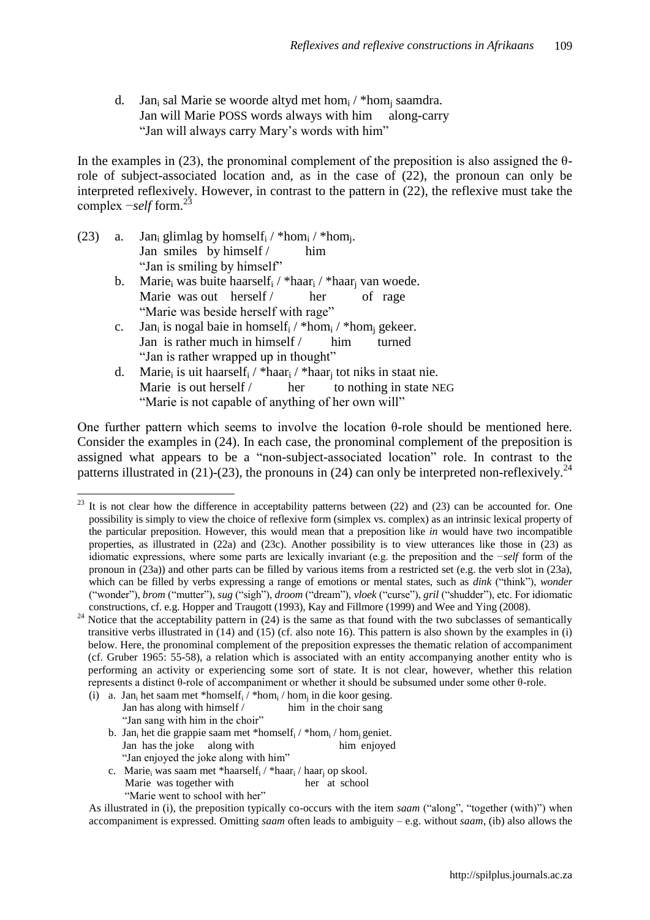d. Jan<sub>i</sub> sal Marie se woorde altyd met hom<sub>i</sub> / \*hom<sub>i</sub> saamdra. Jan will Marie POSS words always with him along-carry "Jan will always carry Mary"s words with him"

In the examples in (23), the pronominal complement of the preposition is also assigned the  $\theta$ role of subject-associated location and, as in the case of (22), the pronoun can only be interpreted reflexively. However, in contrast to the pattern in (22), the reflexive must take the complex −*self* form.<sup>23</sup>

- (23) a. Jan<sub>i</sub> glimlag by homself<sub>i</sub> / \*hom<sub>i</sub> / \*hom<sub>j</sub>. Jan smiles by himself / him "Jan is smiling by himself"
	- b. Marie<sub>i</sub> was buite haarself<sub>i</sub> / \*haar<sub>i</sub> / \*haar<sub>i</sub> van woede. Marie was out herself / her of rage "Marie was beside herself with rage"
	- c. Jan<sub>i</sub> is nogal baie in homself<sub>i</sub> / \*hom<sub>i</sub> / \*hom<sub>i</sub> gekeer. Jan is rather much in himself / him turned "Jan is rather wrapped up in thought"
	- d. Marie<sub>i</sub> is uit haarself<sub>i</sub> / \*haar<sub>i</sub> / \*haar<sub>i</sub> tot niks in staat nie. Marie is out herself / her to nothing in state NEG "Marie is not capable of anything of her own will"

One further pattern which seems to involve the location θ-role should be mentioned here. Consider the examples in (24). In each case, the pronominal complement of the preposition is assigned what appears to be a "non-subject-associated location" role. In contrast to the patterns illustrated in (21)-(23), the pronouns in (24) can only be interpreted non-reflexively.<sup>24</sup>

- (i) a. Jan<sub>i</sub> het saam met \*homself<sub>i</sub> / \*hom<sub>i</sub> / hom<sub>j</sub> in die koor gesing. Jan has along with himself / him in the choir sang "Jan sang with him in the choir" b. Jan<sub>i</sub> het die grappie saam met \*homself<sub>i</sub> / \*hom<sub>i</sub> / hom<sub>i</sub> geniet. Jan has the joke along with him enjoyed
	- "Jan enjoyed the joke along with him"
	- c. Marie<sub>i</sub> was saam met \*haarself<sub>i</sub> / \*haar<sub>i</sub> / haar<sub>j</sub> op skool. Marie was together with her at school
		- "Marie went to school with her"

As illustrated in (i), the preposition typically co-occurs with the item *saam* ("along", "together (with)") when accompaniment is expressed. Omitting *saam* often leads to ambiguity – e.g. without *saam*, (ib) also allows the

 $\overline{a}$  $23$  It is not clear how the difference in acceptability patterns between (22) and (23) can be accounted for. One possibility is simply to view the choice of reflexive form (simplex vs. complex) as an intrinsic lexical property of the particular preposition. However, this would mean that a preposition like *in* would have two incompatible properties, as illustrated in (22a) and (23c). Another possibility is to view utterances like those in (23) as idiomatic expressions, where some parts are lexically invariant (e.g. the preposition and the −*self* form of the pronoun in (23a)) and other parts can be filled by various items from a restricted set (e.g. the verb slot in (23a), which can be filled by verbs expressing a range of emotions or mental states, such as *dink* ("think"), *wonder* ("wonder"), *brom* ("mutter"), *sug* ("sigh"), *droom* ("dream"), *vloek* ("curse"), *gril* ("shudder"), etc. For idiomatic constructions, cf. e.g. Hopper and Traugott (1993), Kay and Fillmore (1999) and Wee and Ying (2008).

<sup>&</sup>lt;sup>24</sup> Notice that the acceptability pattern in  $(24)$  is the same as that found with the two subclasses of semantically transitive verbs illustrated in  $(14)$  and  $(15)$  (cf. also note 16). This pattern is also shown by the examples in  $(i)$ below. Here, the pronominal complement of the preposition expresses the thematic relation of accompaniment (cf. Gruber 1965: 55-58), a relation which is associated with an entity accompanying another entity who is performing an activity or experiencing some sort of state. It is not clear, however, whether this relation represents a distinct θ-role of accompaniment or whether it should be subsumed under some other θ-role.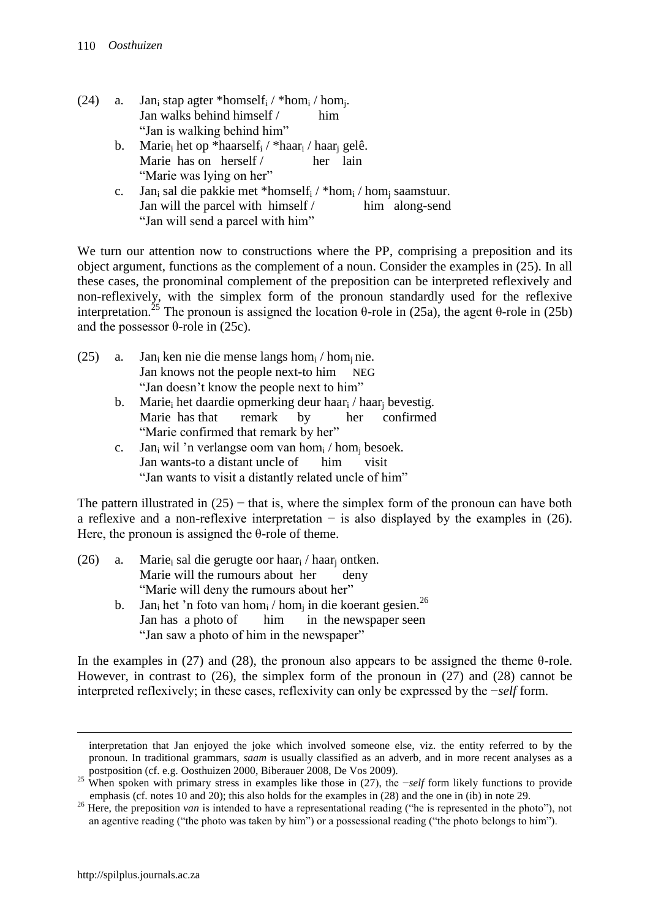- (24) a. Jan<sub>i</sub> stap agter \*homself<sub>i</sub> / \*hom<sub>i</sub> / hom<sub>i</sub>. Jan walks behind himself / him "Jan is walking behind him"
	- b. Marie<sub>i</sub> het op \*haarself<sub>i</sub> / \*haar<sub>i</sub> / haar<sub>i</sub> gelê. Marie has on herself / her lain "Marie was lying on her"
	- c. Jan<sub>i</sub> sal die pakkie met \*homself<sub>i</sub> / \*hom<sub>i</sub> / hom<sub>i</sub> saamstuur. Jan will the parcel with himself / him along-send "Jan will send a parcel with him"

We turn our attention now to constructions where the PP, comprising a preposition and its object argument, functions as the complement of a noun. Consider the examples in (25). In all these cases, the pronominal complement of the preposition can be interpreted reflexively and non-reflexively, with the simplex form of the pronoun standardly used for the reflexive interpretation.<sup>25</sup> The pronoun is assigned the location θ-role in (25a), the agent θ-role in (25b) and the possessor  $θ$ -role in (25c).

- (25) a. Jan<sub>i</sub> ken nie die mense langs hom<sub>i</sub> / hom<sub>i</sub> nie. Jan knows not the people next-to him NEG "Jan doesn"t know the people next to him"
	- b. Marie<sub>i</sub> het daardie opmerking deur haar<sub>i</sub> / haar<sub>i</sub> bevestig. Marie has that remark by her confirmed "Marie confirmed that remark by her"
	- c. Jan<sub>i</sub> wil 'n verlangse oom van hom<sub>i</sub> / hom<sub>i</sub> besoek. Jan wants-to a distant uncle of him visit "Jan wants to visit a distantly related uncle of him"

The pattern illustrated in  $(25)$  – that is, where the simplex form of the pronoun can have both a reflexive and a non-reflexive interpretation − is also displayed by the examples in (26). Here, the pronoun is assigned the θ-role of theme.

- (26) a. Marie<sup>i</sup> sal die gerugte oor haar<sup>i</sup> / haar<sup>j</sup> ontken. Marie will the rumours about her deny "Marie will deny the rumours about her"
	- b. Jan<sub>i</sub> het 'n foto van hom<sub>i</sub> / hom<sub>i</sub> in die koerant gesien.<sup>26</sup> Jan has a photo of him in the newspaper seen "Jan saw a photo of him in the newspaper"

In the examples in (27) and (28), the pronoun also appears to be assigned the theme  $\theta$ -role. However, in contrast to (26), the simplex form of the pronoun in (27) and (28) cannot be interpreted reflexively; in these cases, reflexivity can only be expressed by the −*self* form.

 $\overline{a}$ 

interpretation that Jan enjoyed the joke which involved someone else, viz. the entity referred to by the pronoun. In traditional grammars, *saam* is usually classified as an adverb, and in more recent analyses as a postposition (cf. e.g. Oosthuizen 2000, Biberauer 2008, De Vos 2009).

<sup>25</sup> When spoken with primary stress in examples like those in (27), the −*self* form likely functions to provide emphasis (cf. notes 10 and 20); this also holds for the examples in (28) and the one in (ib) in note 29.

<sup>&</sup>lt;sup>26</sup> Here, the preposition *van* is intended to have a representational reading ("he is represented in the photo"), not an agentive reading ("the photo was taken by him") or a possessional reading ("the photo belongs to him").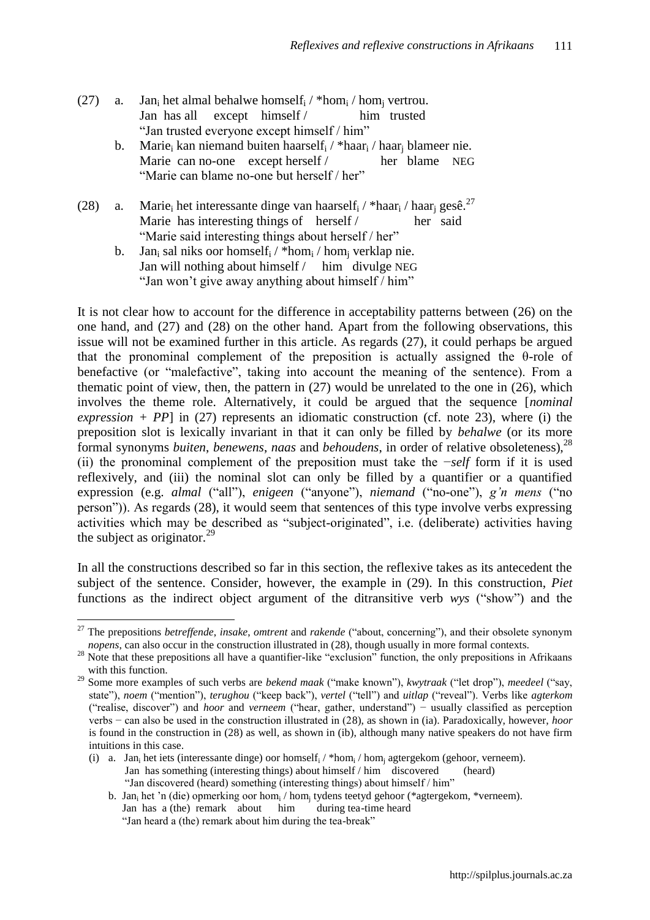- (27) a. Jan<sub>i</sub> het almal behalwe homself<sub>i</sub> / \*hom<sub>i</sub> / hom<sub>i</sub> vertrou. Jan has all except himself / him trusted "Jan trusted everyone except himself / him"
	- b. Marie<sub>i</sub> kan niemand buiten haarself<sub>i</sub> / \*haar<sub>i</sub> / haar<sub>i</sub> blameer nie. Marie can no-one except herself / her blame NEG "Marie can blame no-one but herself / her"
- (28) a. Marie<sub>i</sub> het interessante dinge van haarself<sub>i</sub> / \*haar<sub>i</sub> / haar<sub>i</sub> gesê.<sup>27</sup> Marie has interesting things of herself / her said "Marie said interesting things about herself / her"
	- b. Jan<sub>i</sub> sal niks oor homself<sub>i</sub> / \*hom<sub>i</sub> / hom<sub>i</sub> verklap nie. Jan will nothing about himself / him divulge NEG "Jan won't give away anything about himself / him"

It is not clear how to account for the difference in acceptability patterns between (26) on the one hand, and (27) and (28) on the other hand. Apart from the following observations, this issue will not be examined further in this article. As regards (27), it could perhaps be argued that the pronominal complement of the preposition is actually assigned the θ-role of benefactive (or "malefactive", taking into account the meaning of the sentence). From a thematic point of view, then, the pattern in (27) would be unrelated to the one in (26), which involves the theme role. Alternatively, it could be argued that the sequence [*nominal*   $expression + PP$  in (27) represents an idiomatic construction (cf. note 23), where (i) the preposition slot is lexically invariant in that it can only be filled by *behalwe* (or its more formal synonyms *buiten*, *benewens*, *naas* and *behoudens*, in order of relative obsoleteness),<sup>28</sup> (ii) the pronominal complement of the preposition must take the −*self* form if it is used reflexively, and (iii) the nominal slot can only be filled by a quantifier or a quantified expression (e.g. *almal* ("all"), *enigeen* ("anyone"), *niemand* ("no-one"), *g'n mens* ("no person")). As regards (28), it would seem that sentences of this type involve verbs expressing activities which may be described as "subject-originated", i.e. (deliberate) activities having the subject as originator. $^{29}$ 

In all the constructions described so far in this section, the reflexive takes as its antecedent the subject of the sentence. Consider, however, the example in (29). In this construction, *Piet* functions as the indirect object argument of the ditransitive verb *wys* ("show") and the

 $\overline{a}$ <sup>27</sup> The prepositions *betreffende*, *insake*, *omtrent* and *rakende* ("about, concerning"), and their obsolete synonym *nopens*, can also occur in the construction illustrated in (28), though usually in more formal contexts.

 $28$  Note that these prepositions all have a quantifier-like "exclusion" function, the only prepositions in Afrikaans with this function.

<sup>29</sup> Some more examples of such verbs are *bekend maak* ("make known"), *kwytraak* ("let drop"), *meedeel* ("say, state"), *noem* ("mention"), *terughou* ("keep back"), *vertel* ("tell") and *uitlap* ("reveal"). Verbs like *agterkom* ("realise, discover") and *hoor* and *verneem* ("hear, gather, understand") − usually classified as perception verbs − can also be used in the construction illustrated in (28), as shown in (ia). Paradoxically, however, *hoor* is found in the construction in (28) as well, as shown in (ib), although many native speakers do not have firm intuitions in this case.

<sup>(</sup>i) a. Jan<sub>i</sub> het iets (interessante dinge) oor homself<sub>i</sub> / \*hom<sub>i</sub> / hom<sub>j</sub> agtergekom (gehoor, verneem). Jan has something (interesting things) about himself / him discovered (heard) "Jan discovered (heard) something (interesting things) about himself / him"

b. Jan<sub>i</sub> het 'n (die) opmerking oor hom<sub>i</sub> / hom<sub>i</sub> tydens teetyd gehoor (\*agtergekom, \*verneem). Jan has a (the) remark about him during tea-time heard "Jan heard a (the) remark about him during the tea-break"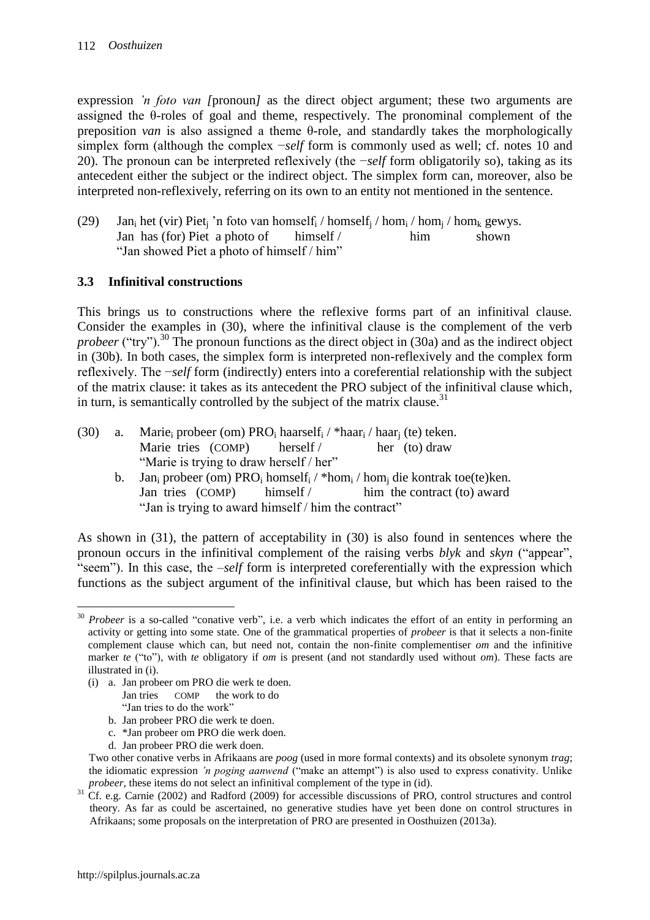expression *'n foto van [pronoun]* as the direct object argument; these two arguments are assigned the  $\theta$ -roles of goal and theme, respectively. The pronominal complement of the preposition *van* is also assigned a theme θ-role, and standardly takes the morphologically simplex form (although the complex −*self* form is commonly used as well; cf. notes 10 and 20). The pronoun can be interpreted reflexively (the −*self* form obligatorily so), taking as its antecedent either the subject or the indirect object. The simplex form can, moreover, also be interpreted non-reflexively, referring on its own to an entity not mentioned in the sentence.

(29) Jan<sub>i</sub> het (vir) Piet<sub>i</sub> 'n foto van homself<sub>i</sub> / homself<sub>i</sub> / hom<sub>i</sub> / hom<sub>i</sub> / hom<sub>k</sub> gewys. Jan has (for) Piet a photo of himself / him shown "Jan showed Piet a photo of himself / him"

### **3.3 Infinitival constructions**

This brings us to constructions where the reflexive forms part of an infinitival clause. Consider the examples in (30), where the infinitival clause is the complement of the verb *probeer* ("try").<sup>30</sup> The pronoun functions as the direct object in (30a) and as the indirect object in (30b). In both cases, the simplex form is interpreted non-reflexively and the complex form reflexively. The −*self* form (indirectly) enters into a coreferential relationship with the subject of the matrix clause: it takes as its antecedent the PRO subject of the infinitival clause which, in turn, is semantically controlled by the subject of the matrix clause.<sup>31</sup>

- (30) a. Marie<sub>i</sub> probeer (om) PRO<sub>i</sub> haarself<sub>i</sub> / \*haar<sub>i</sub> / haar<sub>i</sub> (te) teken. Marie tries (COMP) herself / her (to) draw "Marie is trying to draw herself / her"
	- b. Jan<sub>i</sub> probeer (om) PRO<sub>i</sub> homself<sub>i</sub> / \*hom<sub>i</sub> / hom<sub>i</sub> die kontrak toe(te)ken. Jan tries (COMP) himself / him the contract (to) award "Jan is trying to award himself / him the contract"

As shown in (31), the pattern of acceptability in (30) is also found in sentences where the pronoun occurs in the infinitival complement of the raising verbs *blyk* and *skyn* ("appear", "seem"). In this case, the –*self* form is interpreted coreferentially with the expression which functions as the subject argument of the infinitival clause, but which has been raised to the

- (i) a. Jan probeer om PRO die werk te doen.
	- Jan tries COMP the work to do "Jan tries to do the work"
	- b. Jan probeer PRO die werk te doen.
	- c. \*Jan probeer om PRO die werk doen.
	- d. Jan probeer PRO die werk doen.

 $\overline{a}$ <sup>30</sup> *Probeer* is a so-called "conative verb", i.e. a verb which indicates the effort of an entity in performing an activity or getting into some state. One of the grammatical properties of *probeer* is that it selects a non-finite complement clause which can, but need not, contain the non-finite complementiser *om* and the infinitive marker *te* ("to"), with *te* obligatory if *om* is present (and not standardly used without *om*). These facts are illustrated in (i).

Two other conative verbs in Afrikaans are *poog* (used in more formal contexts) and its obsolete synonym *trag*; the idiomatic expression *'n poging aanwend* ("make an attempt") is also used to express conativity. Unlike *probeer*, these items do not select an infinitival complement of the type in (id).

<sup>&</sup>lt;sup>31</sup> Cf. e.g. Carnie (2002) and Radford (2009) for accessible discussions of PRO, control structures and control theory. As far as could be ascertained, no generative studies have yet been done on control structures in Afrikaans; some proposals on the interpretation of PRO are presented in Oosthuizen (2013a).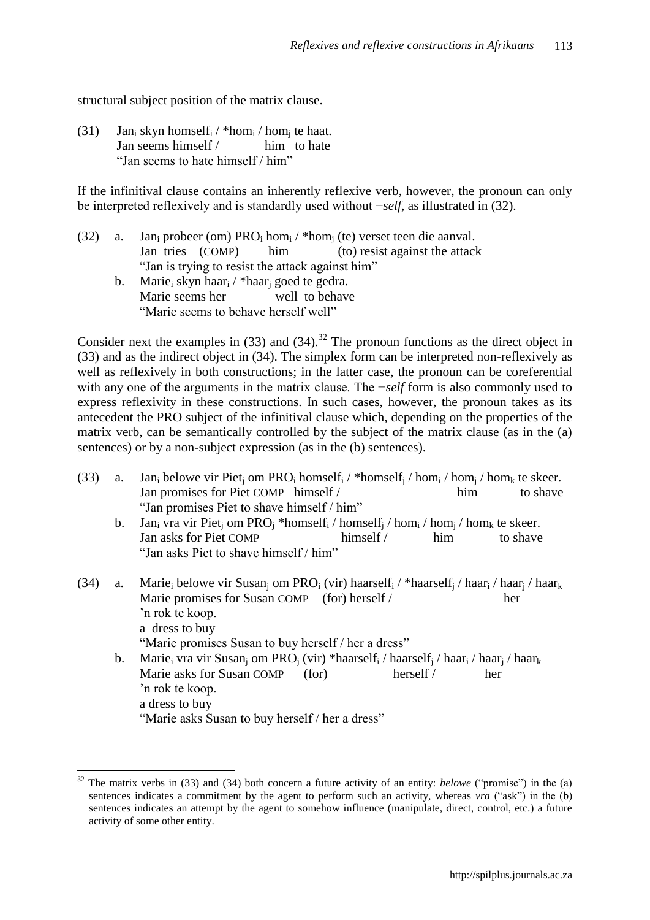structural subject position of the matrix clause.

(31) Jan<sub>i</sub> skyn homself<sub>i</sub> / \*hom<sub>i</sub> / hom<sub>i</sub> te haat. Jan seems himself / him to hate "Jan seems to hate himself / him"

If the infinitival clause contains an inherently reflexive verb, however, the pronoun can only be interpreted reflexively and is standardly used without −*self*, as illustrated in (32).

- (32) a. Jan<sub>i</sub> probeer (om)  $PRO<sub>i</sub> \text{hom}_{i}$  / \*hom<sub>i</sub> (te) verset teen die aanval. Jan tries (COMP) him (to) resist against the attack "Jan is trying to resist the attack against him"
	- b. Marie<sub>i</sub> skyn haar<sub>i</sub> / \*haar<sub>i</sub> goed te gedra. Marie seems her well to behave "Marie seems to behave herself well"

Consider next the examples in (33) and (34).<sup>32</sup> The pronoun functions as the direct object in (33) and as the indirect object in (34). The simplex form can be interpreted non-reflexively as well as reflexively in both constructions; in the latter case, the pronoun can be coreferential with any one of the arguments in the matrix clause. The −*self* form is also commonly used to express reflexivity in these constructions. In such cases, however, the pronoun takes as its antecedent the PRO subject of the infinitival clause which, depending on the properties of the matrix verb, can be semantically controlled by the subject of the matrix clause (as in the (a) sentences) or by a non-subject expression (as in the (b) sentences).

- (33) a. Jan<sub>i</sub> belowe vir Piet<sub>i</sub> om PRO<sub>i</sub> homself<sub>i</sub> / \*homself<sub>i</sub> / hom<sub>i</sub> / hom<sub>i</sub> / hom<sub>k</sub> te skeer. Jan promises for Piet COMP himself / him to shave "Jan promises Piet to shave himself / him"
	- b. Jan<sub>i</sub> vra vir Piet<sub>i</sub> om PRO<sub>i</sub> \*homself<sub>i</sub> / homself<sub>i</sub> / hom<sub>i</sub> / hom<sub>i</sub> / hom<sub>k</sub> te skeer. Jan asks for Piet COMP himself / him to shave "Jan asks Piet to shave himself / him"
- (34) a. Marie<sub>i</sub> belowe vir Susan<sub>i</sub> om PRO<sub>i</sub> (vir) haarself<sub>i</sub> / \*haarself<sub>i</sub> / haar<sub>i</sub> / haar<sub>i</sub> / haar<sub>k</sub> Marie promises for Susan COMP (for) herself / her "n rok te koop. a dress to buy "Marie promises Susan to buy herself / her a dress" b. Marie<sub>i</sub> vra vir Susan<sub>i</sub> om PRO<sub>i</sub> (vir) \*haarself<sub>i</sub> / haarself<sub>i</sub> / haar<sub>i</sub> / haar<sub>i</sub> / haar<sub>k</sub> Marie asks for Susan COMP (for) herself / her
	- "n rok te koop. a dress to buy

<sup>&</sup>quot;Marie asks Susan to buy herself / her a dress"

 $\overline{a}$ <sup>32</sup> The matrix verbs in (33) and (34) both concern a future activity of an entity: *belowe* ("promise") in the (a) sentences indicates a commitment by the agent to perform such an activity, whereas *vra* ("ask") in the (b) sentences indicates an attempt by the agent to somehow influence (manipulate, direct, control, etc.) a future activity of some other entity.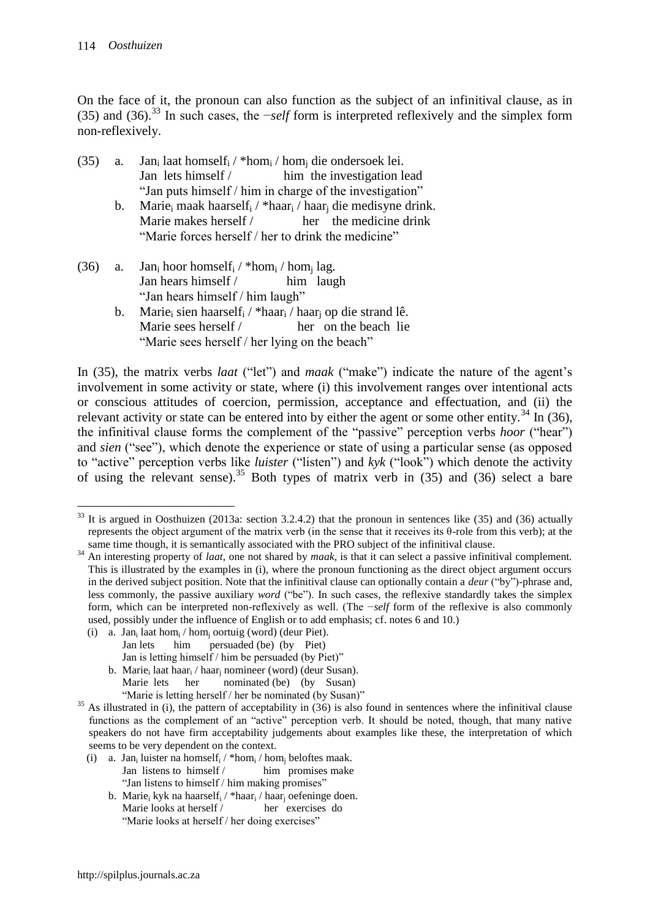On the face of it, the pronoun can also function as the subject of an infinitival clause, as in (35) and (36).<sup>33</sup> In such cases, the −*self* form is interpreted reflexively and the simplex form non-reflexively.

- (35) a. Jan<sub>i</sub> laat homself<sub>i</sub> / \*hom<sub>i</sub> / hom<sub>i</sub> die ondersoek lei. Jan lets himself / him the investigation lead "Jan puts himself / him in charge of the investigation"
	- b. Marie<sub>i</sub> maak haarself<sub>i</sub> / \*haar<sub>i</sub> / haar<sub>i</sub> die medisyne drink. Marie makes herself / her the medicine drink "Marie forces herself / her to drink the medicine"
- (36) a. Jan<sub>i</sub> hoor homself<sub>i</sub> / \*hom<sub>i</sub> / hom<sub>i</sub> lag. Jan hears himself / him laugh "Jan hears himself / him laugh"
	- b. Marie<sub>i</sub> sien haarself<sub>i</sub> / \*haar<sub>i</sub> / haar<sub>i</sub> op die strand lê. Marie sees herself / her on the beach lie "Marie sees herself / her lying on the beach"

In (35), the matrix verbs *laat* ("let") and *maak* ("make") indicate the nature of the agent's involvement in some activity or state, where (i) this involvement ranges over intentional acts or conscious attitudes of coercion, permission, acceptance and effectuation, and (ii) the relevant activity or state can be entered into by either the agent or some other entity.<sup>34</sup> In (36), the infinitival clause forms the complement of the "passive" perception verbs *hoor* ("hear") and *sien* ("see"), which denote the experience or state of using a particular sense (as opposed to "active" perception verbs like *luister* ("listen") and *kyk* ("look") which denote the activity of using the relevant sense).<sup>35</sup> Both types of matrix verb in  $(35)$  and  $(36)$  select a bare

- (i) a. Jan<sub>i</sub> laat hom<sub>i</sub> / hom<sub>i</sub> oortuig (word) (deur Piet). Jan lets him persuaded (be) (by Piet) Jan is letting himself / him be persuaded (by Piet)"
	- b. Marie<sub>i</sub> laat haar<sub>i</sub> / haar<sub>i</sub> nomineer (word) (deur Susan). Marie lets her nominated (be) (by Susan) "Marie is letting herself / her be nominated (by Susan)"

 $\overline{a}$ <sup>33</sup> It is argued in Oosthuizen (2013a: section 3.2.4.2) that the pronoun in sentences like (35) and (36) actually represents the object argument of the matrix verb (in the sense that it receives its θ-role from this verb); at the same time though, it is semantically associated with the PRO subject of the infinitival clause.

<sup>34</sup> An interesting property of *laat*, one not shared by *maak*, is that it can select a passive infinitival complement. This is illustrated by the examples in (i), where the pronoun functioning as the direct object argument occurs in the derived subject position. Note that the infinitival clause can optionally contain a *deur* ("by")-phrase and, less commonly, the passive auxiliary *word* ("be"). In such cases, the reflexive standardly takes the simplex form, which can be interpreted non-reflexively as well. (The −*self* form of the reflexive is also commonly used, possibly under the influence of English or to add emphasis; cf. notes 6 and 10.)

 $35$  As illustrated in (i), the pattern of acceptability in (36) is also found in sentences where the infinitival clause functions as the complement of an "active" perception verb. It should be noted, though, that many native speakers do not have firm acceptability judgements about examples like these, the interpretation of which seems to be very dependent on the context.

<sup>(</sup>i) a. Jan<sub>i</sub> luister na homself<sub>i</sub> / \*hom<sub>i</sub> / hom<sub>j</sub> beloftes maak. Jan listens to himself / him promises make "Jan listens to himself / him making promises"

b. Marie<sub>i</sub> kyk na haarself<sub>i</sub> / \*haar<sub>i</sub> / haar<sub>i</sub> oefeninge doen. Marie looks at herself / her exercises do "Marie looks at herself / her doing exercises"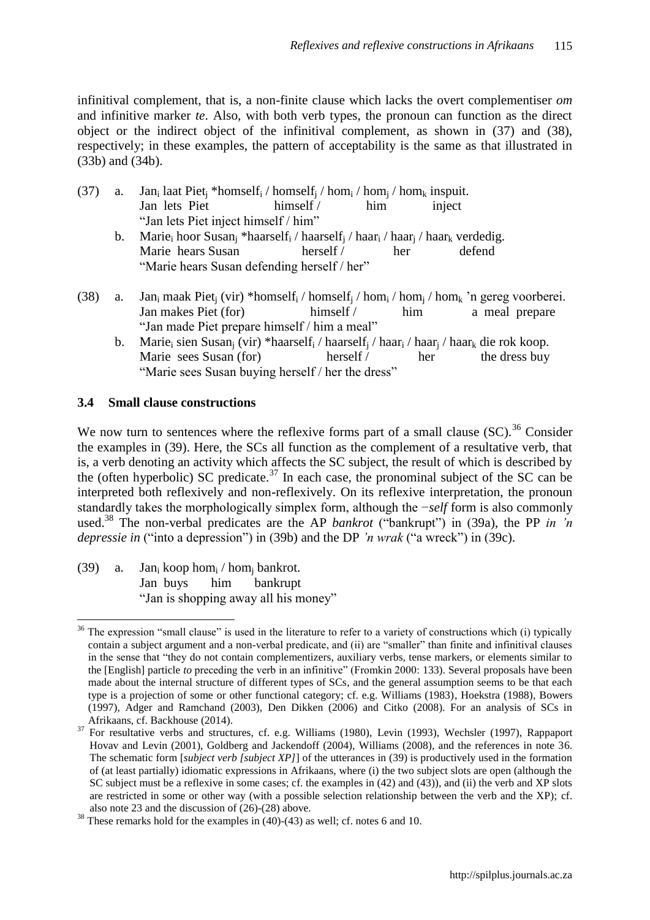infinitival complement, that is, a non-finite clause which lacks the overt complementiser *om* and infinitive marker *te*. Also, with both verb types, the pronoun can function as the direct object or the indirect object of the infinitival complement, as shown in (37) and (38), respectively; in these examples, the pattern of acceptability is the same as that illustrated in (33b) and (34b).

- (37) a. Jan<sub>i</sub> laat Piet<sub>i</sub> \*homself<sub>i</sub> / homself<sub>i</sub> / hom<sub>i</sub> / hom<sub>i</sub> / hom<sub>k</sub> inspuit. Jan lets Piet himself / him inject "Jan lets Piet inject himself / him"
	- b. Marie<sub>i</sub> hoor Susan<sub>i</sub> \*haarself<sub>i</sub> / haarself<sub>i</sub> / haar<sub>i</sub> / haar<sub>i</sub> / haar<sub>k</sub> verdedig. Marie hears Susan herself / her defend "Marie hears Susan defending herself / her"
- (38) a. Jan<sub>i</sub> maak Piet<sub>i</sub> (vir) \*homself<sub>i</sub> / homself<sub>i</sub> / hom<sub>i</sub> / hom<sub>i</sub> / hom<sub>k</sub> 'n gereg voorberei. Jan makes Piet (for) himself / him a meal prepare "Jan made Piet prepare himself / him a meal"
	- b. Marie<sub>i</sub> sien Susan<sub>i</sub> (vir) \*haarself<sub>i</sub> / haarself<sub>i</sub> / haar<sub>i</sub> / haar<sub>i</sub> / haar<sub>k</sub> die rok koop. Marie sees Susan (for) herself / her the dress buy "Marie sees Susan buying herself / her the dress"

### **3.4 Small clause constructions**

We now turn to sentences where the reflexive forms part of a small clause  $(SC)^{36}$  Consider the examples in (39). Here, the SCs all function as the complement of a resultative verb, that is, a verb denoting an activity which affects the SC subject, the result of which is described by the (often hyperbolic) SC predicate.<sup>37</sup> In each case, the pronominal subject of the SC can be interpreted both reflexively and non-reflexively. On its reflexive interpretation, the pronoun standardly takes the morphologically simplex form, although the −*self* form is also commonly used.<sup>38</sup> The non-verbal predicates are the AP *bankrot* ("bankrupt") in (39a), the PP *in 'n depressie in* ("into a depression") in (39b) and the DP *'n wrak* ("a wreck") in (39c).

(39) a. Jan<sub>i</sub> koop hom<sub>i</sub> / hom<sub>i</sub> bankrot. Jan buys him bankrupt "Jan is shopping away all his money"

 $\overline{a}$ <sup>36</sup> The expression "small clause" is used in the literature to refer to a variety of constructions which (i) typically contain a subject argument and a non-verbal predicate, and (ii) are "smaller" than finite and infinitival clauses in the sense that "they do not contain complementizers, auxiliary verbs, tense markers, or elements similar to the [English] particle *to* preceding the verb in an infinitive" (Fromkin 2000: 133). Several proposals have been made about the internal structure of different types of SCs, and the general assumption seems to be that each type is a projection of some or other functional category; cf. e.g. Williams (1983), Hoekstra (1988), Bowers (1997), Adger and Ramchand (2003), Den Dikken (2006) and Citko (2008). For an analysis of SCs in Afrikaans, cf. Backhouse (2014).

<sup>&</sup>lt;sup>37</sup> For resultative verbs and structures, cf. e.g. Williams (1980), Levin (1993), Wechsler (1997), Rappaport Hovav and Levin (2001), Goldberg and Jackendoff (2004), Williams (2008), and the references in note 36. The schematic form [*subject verb [subject XP]*] of the utterances in (39) is productively used in the formation of (at least partially) idiomatic expressions in Afrikaans, where (i) the two subject slots are open (although the SC subject must be a reflexive in some cases; cf. the examples in (42) and (43)), and (ii) the verb and XP slots are restricted in some or other way (with a possible selection relationship between the verb and the XP); cf. also note 23 and the discussion of (26)-(28) above.

 $38$  These remarks hold for the examples in (40)-(43) as well; cf. notes 6 and 10.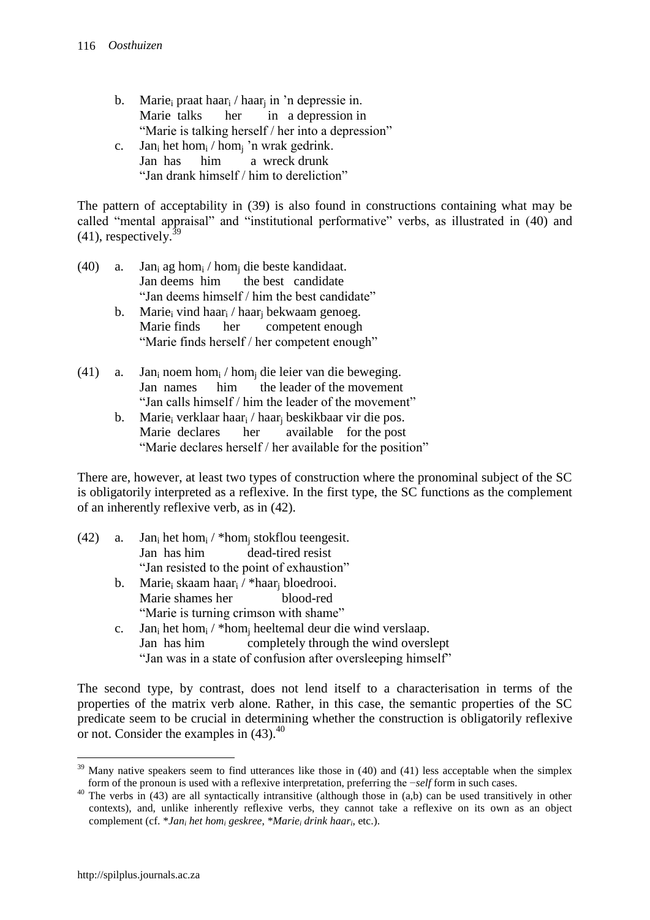- b. Marie<sub>i</sub> praat haar<sub>i</sub> / haar<sub>i</sub> in 'n depressie in. Marie talks her in a depression in "Marie is talking herself / her into a depression" c. Jan<sub>i</sub> het hom<sub>i</sub> / hom<sub>i</sub> 'n wrak gedrink.
- Jan has him a wreck drunk "Jan drank himself / him to dereliction"

The pattern of acceptability in (39) is also found in constructions containing what may be called "mental appraisal" and "institutional performative" verbs, as illustrated in (40) and  $(41)$ , respectively.<sup>3</sup>

- (40) a. Jan<sub>i</sub> ag hom<sub>i</sub> / hom<sub>i</sub> die beste kandidaat. Jan deems him the best candidate "Jan deems himself / him the best candidate"
	- b. Marie<sub>i</sub> vind haar<sub>i</sub> / haar<sub>i</sub> bekwaam genoeg. Marie finds her competent enough "Marie finds herself / her competent enough"
- (41) a. Jan<sub>i</sub> noem hom<sub>i</sub> / hom<sub>i</sub> die leier van die beweging. Jan names him the leader of the movement "Jan calls himself / him the leader of the movement"
	- b. Marie<sub>i</sub> verklaar haar<sub>i</sub> / haar<sub>i</sub> beskikbaar vir die pos. Marie declares her available for the post "Marie declares herself / her available for the position"

There are, however, at least two types of construction where the pronominal subject of the SC is obligatorily interpreted as a reflexive. In the first type, the SC functions as the complement of an inherently reflexive verb, as in (42).

- (42) a. Jan<sub>i</sub> het hom<sub>i</sub> / \*hom<sub>i</sub> stokflou teengesit. Jan has him dead-tired resist "Jan resisted to the point of exhaustion"
	- b. Marie<sup>i</sup> skaam haar<sup>i</sup> / \*haar<sup>j</sup> bloedrooi. Marie shames her blood-red "Marie is turning crimson with shame"
	- c. Jan<sup>i</sup> het hom<sup>i</sup> / \*hom<sup>j</sup> heeltemal deur die wind verslaap. Jan has him completely through the wind overslept "Jan was in a state of confusion after oversleeping himself"

The second type, by contrast, does not lend itself to a characterisation in terms of the properties of the matrix verb alone. Rather, in this case, the semantic properties of the SC predicate seem to be crucial in determining whether the construction is obligatorily reflexive or not. Consider the examples in  $(43)$ .<sup>40</sup>

 $\overline{a}$  $39$  Many native speakers seem to find utterances like those in (40) and (41) less acceptable when the simplex form of the pronoun is used with a reflexive interpretation, preferring the −*self* form in such cases.

<sup>&</sup>lt;sup>40</sup> The verbs in (43) are all syntactically intransitive (although those in (a,b) can be used transitively in other contexts), and, unlike inherently reflexive verbs, they cannot take a reflexive on its own as an object complement (cf. \**Jan<sup>i</sup> het hom<sup>i</sup> geskree*, \**Marie<sup>i</sup> drink haar<sup>i</sup>* , etc.).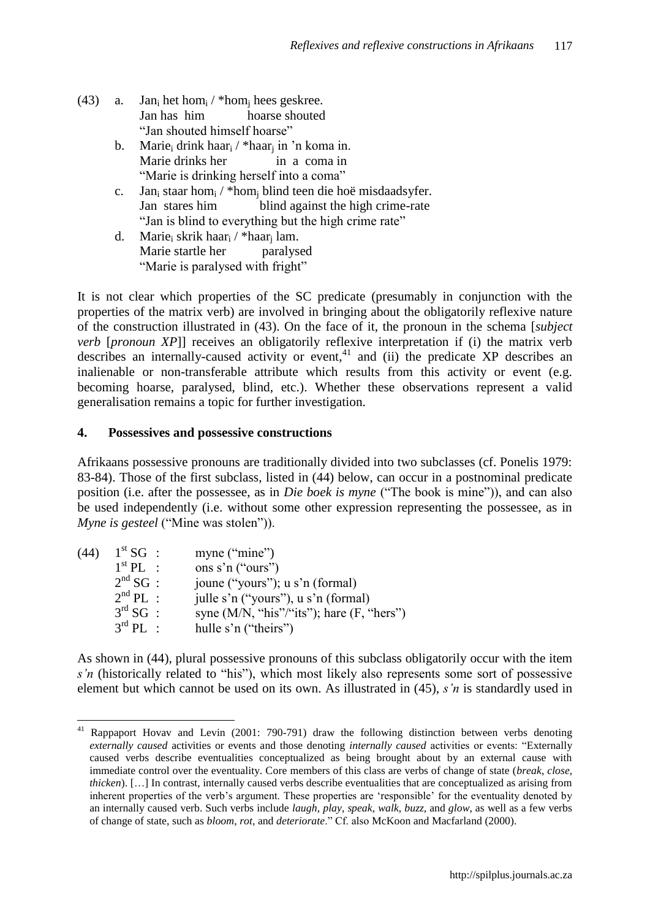- (43) a. Jan<sub>i</sub> het hom<sub>i</sub> / \*hom<sub>i</sub> hees geskree. Jan has him hoarse shouted "Jan shouted himself hoarse"
	- b. Marie<sub>i</sub> drink haar<sub>i</sub> / \*haar<sub>i</sub> in 'n koma in. Marie drinks her in a coma in "Marie is drinking herself into a coma"
	- c. Jan<sup>i</sup> staar hom<sup>i</sup> / \*hom<sup>j</sup> blind teen die hoë misdaadsyfer. Jan stares him blind against the high crime-rate "Jan is blind to everything but the high crime rate"
	- d. Marie<sub>i</sub> skrik haar<sub>i</sub> / \*haar<sub>i</sub> lam. Marie startle her paralysed "Marie is paralysed with fright"

It is not clear which properties of the SC predicate (presumably in conjunction with the properties of the matrix verb) are involved in bringing about the obligatorily reflexive nature of the construction illustrated in (43). On the face of it, the pronoun in the schema [*subject verb* [*pronoun XP*]] receives an obligatorily reflexive interpretation if (i) the matrix verb describes an internally-caused activity or event, $41$  and (ii) the predicate XP describes an inalienable or non-transferable attribute which results from this activity or event (e.g. becoming hoarse, paralysed, blind, etc.). Whether these observations represent a valid generalisation remains a topic for further investigation.

### **4. Possessives and possessive constructions**

 $\overline{a}$ 

Afrikaans possessive pronouns are traditionally divided into two subclasses (cf. Ponelis 1979: 83-84). Those of the first subclass, listed in (44) below, can occur in a postnominal predicate position (i.e. after the possessee, as in *Die boek is myne* ("The book is mine")), and can also be used independently (i.e. without some other expression representing the possessee, as in *Myne is gesteel* ("Mine was stolen")).

| (44) | $1^{\rm st}$ SG :     | myne ("mine")                                  |
|------|-----------------------|------------------------------------------------|
|      | $1st$ PI :            | ons s'n ("ours")                               |
|      | $2nd$ SG :            | joune ("yours"); u s'n (formal)                |
|      | $2nd PL$ :            | julle s'n ("yours"), u s'n (formal)            |
|      | $3^{\text{rd}}$ SG :  | syne $(M/N, "his"/(its")$ ; hare $(F, "hers")$ |
|      | $3^{\text{rd}}$ PI. : | hulle s'n ("theirs")                           |

As shown in (44), plural possessive pronouns of this subclass obligatorily occur with the item *s'n* (historically related to "his"), which most likely also represents some sort of possessive element but which cannot be used on its own. As illustrated in (45), *s'n* is standardly used in

Rappaport Hovav and Levin (2001: 790-791) draw the following distinction between verbs denoting *externally caused* activities or events and those denoting *internally caused* activities or events: "Externally caused verbs describe eventualities conceptualized as being brought about by an external cause with immediate control over the eventuality. Core members of this class are verbs of change of state (*break*, *close*, *thicken*). […] In contrast, internally caused verbs describe eventualities that are conceptualized as arising from inherent properties of the verb's argument. These properties are 'responsible' for the eventuality denoted by an internally caused verb. Such verbs include *laugh*, *play*, *speak*, *walk*, *buzz*, and *glow*, as well as a few verbs of change of state, such as *bloom*, *rot*, and *deteriorate*." Cf. also McKoon and Macfarland (2000).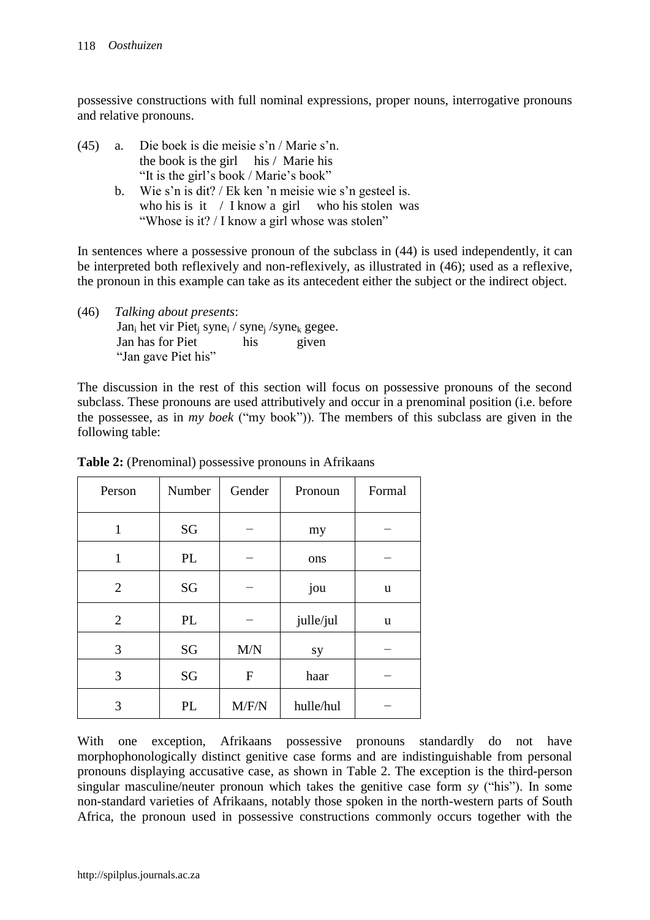possessive constructions with full nominal expressions, proper nouns, interrogative pronouns and relative pronouns.

- (45) a. Die boek is die meisie s"n / Marie s"n. the book is the girl his / Marie his "It is the girl"s book / Marie"s book"
	- b. Wie s'n is dit? / Ek ken 'n meisie wie s'n gesteel is. who his is it / I know a girl who his stolen was "Whose is it? / I know a girl whose was stolen"

In sentences where a possessive pronoun of the subclass in (44) is used independently, it can be interpreted both reflexively and non-reflexively, as illustrated in (46); used as a reflexive, the pronoun in this example can take as its antecedent either the subject or the indirect object.

(46) *Talking about presents*:  $Jan_i$  het vir Piet<sub>i</sub> syne<sub>i</sub> / syne<sub>i</sub> / syne<sub>k</sub> gegee. Jan has for Piet his given "Jan gave Piet his"

The discussion in the rest of this section will focus on possessive pronouns of the second subclass. These pronouns are used attributively and occur in a prenominal position (i.e. before the possessee, as in *my boek* ("my book")). The members of this subclass are given in the following table:

| Person         | Number | Gender       | Pronoun   | Formal |
|----------------|--------|--------------|-----------|--------|
| $\mathbf{1}$   | SG     |              | my        |        |
| $\mathbf{1}$   | PL     |              | ons       |        |
| $\overline{2}$ | SG     |              | jou       | u      |
| $\overline{2}$ | PL     |              | julle/jul | u      |
| 3              | SG     | M/N          | sy        |        |
| 3              | SG     | $\mathbf{F}$ | haar      |        |
| 3              | PL     | M/F/N        | hulle/hul |        |

**Table 2:** (Prenominal) possessive pronouns in Afrikaans

With one exception, Afrikaans possessive pronouns standardly do not have morphophonologically distinct genitive case forms and are indistinguishable from personal pronouns displaying accusative case, as shown in Table 2. The exception is the third-person singular masculine/neuter pronoun which takes the genitive case form *sy* ("his"). In some non-standard varieties of Afrikaans, notably those spoken in the north-western parts of South Africa, the pronoun used in possessive constructions commonly occurs together with the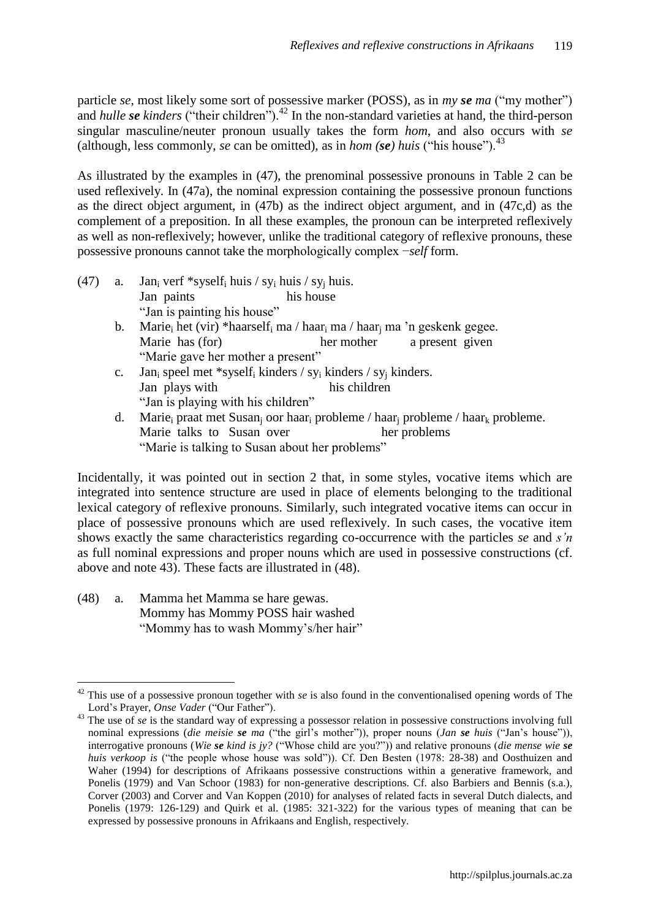particle *se*, most likely some sort of possessive marker (POSS), as in *my se ma* ("my mother") and *hulle se kinders* ("their children").<sup>42</sup> In the non-standard varieties at hand, the third-person singular masculine/neuter pronoun usually takes the form *hom*, and also occurs with *se* (although, less commonly, *se* can be omitted), as in *hom* (*se*) *huis* ("his house").<sup>43</sup>

As illustrated by the examples in (47), the prenominal possessive pronouns in Table 2 can be used reflexively. In (47a), the nominal expression containing the possessive pronoun functions as the direct object argument, in (47b) as the indirect object argument, and in (47c,d) as the complement of a preposition. In all these examples, the pronoun can be interpreted reflexively as well as non-reflexively; however, unlike the traditional category of reflexive pronouns, these possessive pronouns cannot take the morphologically complex −*self* form.

- (47) a. Jan<sub>i</sub> verf \*syself<sub>i</sub> huis / sy<sub>i</sub> huis / sy<sub>i</sub> huis. Jan paints his house "Jan is painting his house"
	- b. Marie<sub>i</sub> het (vir) \*haarself<sub>i</sub> ma / haar<sub>i</sub> ma / haar<sub>i</sub> ma 'n geskenk gegee. Marie has (for) her mother a present given "Marie gave her mother a present"
	- c. Jan<sub>i</sub> speel met \*syself<sub>i</sub> kinders / sy<sub>i</sub> kinders / sy<sub>i</sub> kinders. Jan plays with his children "Jan is playing with his children"
	- d. Marie<sub>i</sub> praat met Susan<sub>i</sub> oor haar<sub>i</sub> probleme / haar<sub>i</sub> probleme / haar<sub>k</sub> probleme. Marie talks to Susan over her problems "Marie is talking to Susan about her problems"

Incidentally, it was pointed out in section 2 that, in some styles, vocative items which are integrated into sentence structure are used in place of elements belonging to the traditional lexical category of reflexive pronouns. Similarly, such integrated vocative items can occur in place of possessive pronouns which are used reflexively. In such cases, the vocative item shows exactly the same characteristics regarding co-occurrence with the particles *se* and *s'n* as full nominal expressions and proper nouns which are used in possessive constructions (cf. above and note 43). These facts are illustrated in (48).

(48) a. Mamma het Mamma se hare gewas. Mommy has Mommy POSS hair washed "Mommy has to wash Mommy"s/her hair"

 $\overline{a}$ 

<sup>&</sup>lt;sup>42</sup> This use of a possessive pronoun together with *se* is also found in the conventionalised opening words of The Lord"s Prayer, *Onse Vader* ("Our Father").

<sup>&</sup>lt;sup>43</sup> The use of *se* is the standard way of expressing a possessor relation in possessive constructions involving full nominal expressions *(die meisie se ma* ("the girl's mother")), proper nouns *(Jan se huis* ("Jan's house")), interrogative pronouns (*Wie se kind is jy?* ("Whose child are you?")) and relative pronouns (*die mense wie se huis verkoop is* ("the people whose house was sold")). Cf. Den Besten (1978: 28-38) and Oosthuizen and Waher (1994) for descriptions of Afrikaans possessive constructions within a generative framework, and Ponelis (1979) and Van Schoor (1983) for non-generative descriptions. Cf. also Barbiers and Bennis (s.a.), Corver (2003) and Corver and Van Koppen (2010) for analyses of related facts in several Dutch dialects, and Ponelis (1979: 126-129) and Quirk et al. (1985: 321-322) for the various types of meaning that can be expressed by possessive pronouns in Afrikaans and English, respectively.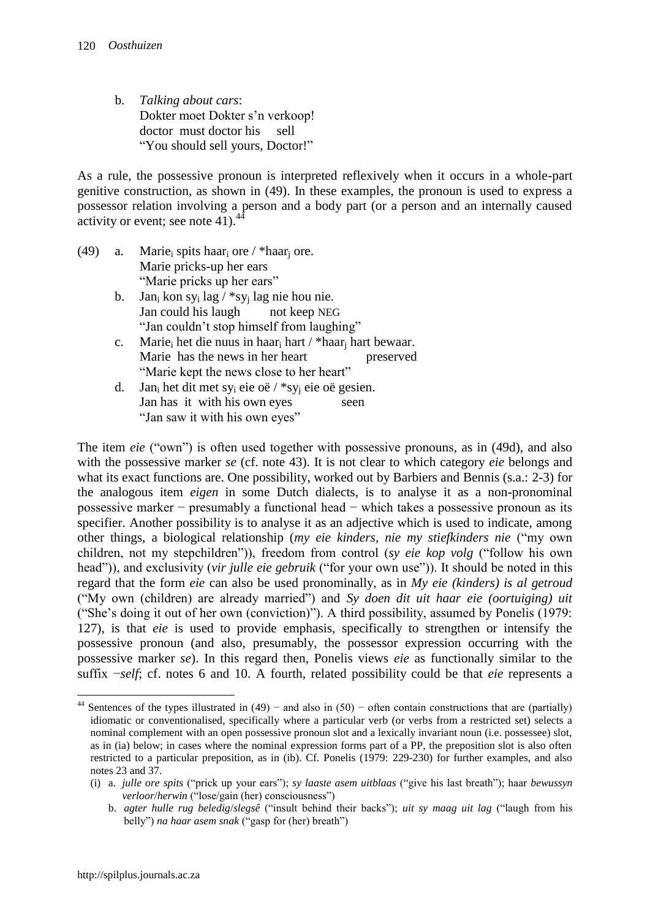b. *Talking about cars*: Dokter moet Dokter s"n verkoop! doctor must doctor his sell "You should sell yours, Doctor!"

As a rule, the possessive pronoun is interpreted reflexively when it occurs in a whole-part genitive construction, as shown in (49). In these examples, the pronoun is used to express a possessor relation involving a person and a body part (or a person and an internally caused activity or event; see note  $41$ ).<sup>4</sup>

- (49) a. Marie<sub>i</sub> spits haar<sub>i</sub> ore / \*haar<sub>i</sub> ore. Marie pricks-up her ears "Marie pricks up her ears"
	- b. Jan<sub>i</sub> kon sy<sub>i</sub> lag / \*sy<sub>i</sub> lag nie hou nie. Jan could his laugh not keep NEG "Jan couldn"t stop himself from laughing"
	- c. Marie<sup>i</sup> het die nuus in haar<sup>i</sup> hart / \*haar<sup>j</sup> hart bewaar. Marie has the news in her heart preserved "Marie kept the news close to her heart"
	- d. Jan<sub>i</sub> het dit met sy<sub>i</sub> eie oë / \*sy<sub>i</sub> eie oë gesien. Jan has it with his own eyes seen "Jan saw it with his own eyes"

The item *eie* ("own") is often used together with possessive pronouns, as in (49d), and also with the possessive marker *se* (cf. note 43). It is not clear to which category *eie* belongs and what its exact functions are. One possibility, worked out by Barbiers and Bennis (s.a.: 2-3) for the analogous item *eigen* in some Dutch dialects, is to analyse it as a non-pronominal possessive marker − presumably a functional head − which takes a possessive pronoun as its specifier. Another possibility is to analyse it as an adjective which is used to indicate, among other things, a biological relationship (*my eie kinders, nie my stiefkinders nie* ("my own children, not my stepchildren")), freedom from control (*sy eie kop volg* ("follow his own head")), and exclusivity (*vir julle eie gebruik* ("for your own use")). It should be noted in this regard that the form *eie* can also be used pronominally, as in *My eie (kinders) is al getroud* ("My own (children) are already married") and *Sy doen dit uit haar eie (oortuiging) uit* ("She's doing it out of her own (conviction)"). A third possibility, assumed by Ponelis (1979: 127), is that *eie* is used to provide emphasis, specifically to strengthen or intensify the possessive pronoun (and also, presumably, the possessor expression occurring with the possessive marker *se*). In this regard then, Ponelis views *eie* as functionally similar to the suffix −*self*; cf. notes 6 and 10. A fourth, related possibility could be that *eie* represents a

 $\overline{a}$ <sup>44</sup> Sentences of the types illustrated in  $(49)$  – and also in  $(50)$  – often contain constructions that are (partially) idiomatic or conventionalised, specifically where a particular verb (or verbs from a restricted set) selects a nominal complement with an open possessive pronoun slot and a lexically invariant noun (i.e. possessee) slot, as in (ia) below; in cases where the nominal expression forms part of a PP, the preposition slot is also often restricted to a particular preposition, as in (ib). Cf. Ponelis (1979: 229-230) for further examples, and also notes 23 and 37.

<sup>(</sup>i) a. *julle ore spits* ("prick up your ears"); *sy laaste asem uitblaas* ("give his last breath"); haar *bewussyn verloor*/*herwin* ("lose/gain (her) consciousness")

b. *agter hulle rug beledig*/*slegsê* ("insult behind their backs"); *uit sy maag uit lag* ("laugh from his belly") *na haar asem snak* ("gasp for (her) breath")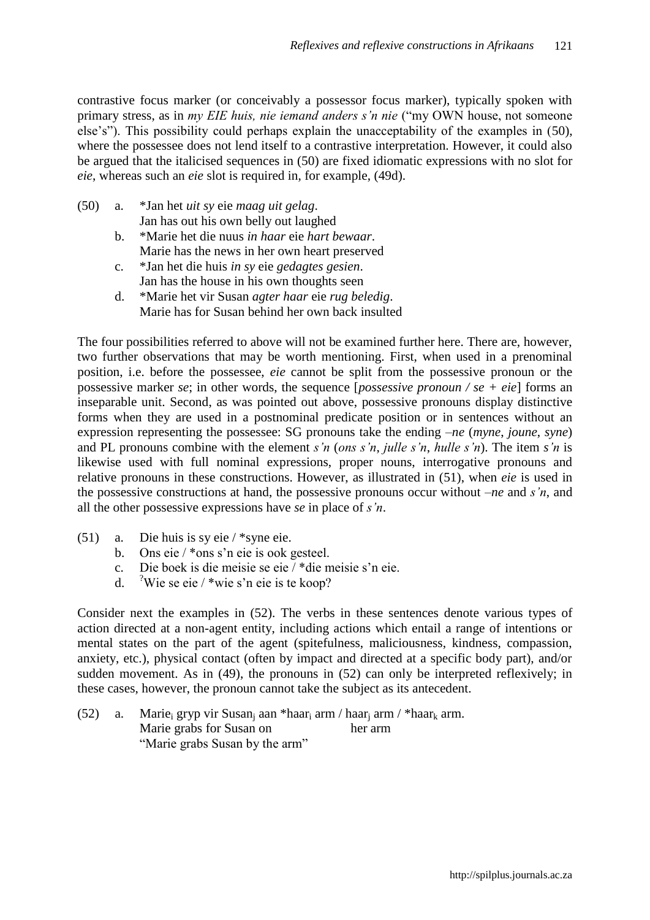contrastive focus marker (or conceivably a possessor focus marker), typically spoken with primary stress, as in *my EIE huis, nie iemand anders s'n nie* ("my OWN house, not someone else"s"). This possibility could perhaps explain the unacceptability of the examples in (50), where the possessee does not lend itself to a contrastive interpretation. However, it could also be argued that the italicised sequences in (50) are fixed idiomatic expressions with no slot for *eie*, whereas such an *eie* slot is required in, for example, (49d).

- (50) a. \*Jan het *uit sy* eie *maag uit gelag*. Jan has out his own belly out laughed
	- b. \*Marie het die nuus *in haar* eie *hart bewaar*. Marie has the news in her own heart preserved
	- c. \*Jan het die huis *in sy* eie *gedagtes gesien*. Jan has the house in his own thoughts seen
	- d. \*Marie het vir Susan *agter haar* eie *rug beledig*. Marie has for Susan behind her own back insulted

The four possibilities referred to above will not be examined further here. There are, however, two further observations that may be worth mentioning. First, when used in a prenominal position, i.e. before the possessee, *eie* cannot be split from the possessive pronoun or the possessive marker *se*; in other words, the sequence [*possessive pronoun / se + eie*] forms an inseparable unit. Second, as was pointed out above, possessive pronouns display distinctive forms when they are used in a postnominal predicate position or in sentences without an expression representing the possessee: SG pronouns take the ending –*ne* (*myne*, *joune*, *syne*) and PL pronouns combine with the element *s'n* (*ons s'n*, *julle s'n*, *hulle s'n*). The item *s'n* is likewise used with full nominal expressions, proper nouns, interrogative pronouns and relative pronouns in these constructions. However, as illustrated in (51), when *eie* is used in the possessive constructions at hand, the possessive pronouns occur without –*ne* and *s'n*, and all the other possessive expressions have *se* in place of *s'n*.

- (51) a. Die huis is sy eie / \*syne eie.
	- b. Ons eie / \*ons s"n eie is ook gesteel.
	- c. Die boek is die meisie se eie / \*die meisie s"n eie.
	- d. <sup>?</sup>Wie se eie / \*wie s'n eie is te koop?

Consider next the examples in (52). The verbs in these sentences denote various types of action directed at a non-agent entity, including actions which entail a range of intentions or mental states on the part of the agent (spitefulness, maliciousness, kindness, compassion, anxiety, etc.), physical contact (often by impact and directed at a specific body part), and/or sudden movement. As in (49), the pronouns in (52) can only be interpreted reflexively; in these cases, however, the pronoun cannot take the subject as its antecedent.

(52) a. Marie<sub>i</sub> gryp vir Susan<sub>i</sub> aan \*haar<sub>i</sub> arm / haar<sub>i</sub> arm / \*haar<sub>k</sub> arm. Marie grabs for Susan on her arm "Marie grabs Susan by the arm"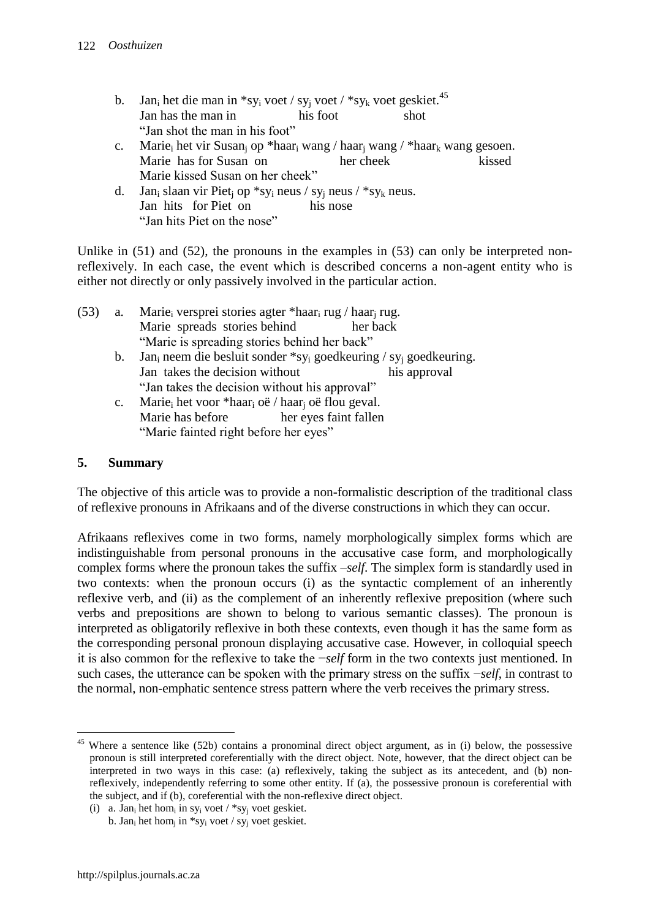| b. Jan <sub>i</sub> het die man in *sy <sub>i</sub> voet / sy <sub>i</sub> voet / *sy <sub>k</sub> voet geskiet. <sup>45</sup>         |  |      |  |  |
|----------------------------------------------------------------------------------------------------------------------------------------|--|------|--|--|
| Jan has the man in his foot                                                                                                            |  | shot |  |  |
| "Jan shot the man in his foot"                                                                                                         |  |      |  |  |
| c. Marie <sub>i</sub> het vir Susan <sub>i</sub> op *haar <sub>i</sub> wang / haar <sub>i</sub> wang / *haar <sub>k</sub> wang gesoen. |  |      |  |  |
|                                                                                                                                        |  |      |  |  |

- Marie has for Susan on her cheek kissed Marie kissed Susan on her cheek"
- d. Jan<sub>i</sub> slaan vir Piet<sub>i</sub> op \*sy<sub>i</sub> neus / sy<sub>i</sub> neus / \*sy<sub>k</sub> neus. Jan hits for Piet on his nose "Jan hits Piet on the nose"

Unlike in  $(51)$  and  $(52)$ , the pronouns in the examples in  $(53)$  can only be interpreted nonreflexively. In each case, the event which is described concerns a non-agent entity who is either not directly or only passively involved in the particular action.

| (53) | а.      | Marie <sub>i</sub> versprei stories agter *haar <sub>i</sub> rug / haar <sub>i</sub> rug.            |              |  |  |  |  |
|------|---------|------------------------------------------------------------------------------------------------------|--------------|--|--|--|--|
|      |         | Marie spreads stories behind                                                                         | her back     |  |  |  |  |
|      |         | "Marie is spreading stories behind her back"                                                         |              |  |  |  |  |
|      | $b_{1}$ | Jan <sub>i</sub> neem die besluit sonder *sy <sub>i</sub> goedkeuring / sy <sub>i</sub> goedkeuring. |              |  |  |  |  |
|      |         | Ion tolzes the decision without                                                                      | his snnuavol |  |  |  |  |

- Jan takes the decision without his approval "Jan takes the decision without his approval" c. Marie<sub>i</sub> het voor \*haar<sub>i</sub> oë / haar<sub>i</sub> oë flou geval.
- Marie has before her eyes faint fallen "Marie fainted right before her eyes"

## **5. Summary**

The objective of this article was to provide a non-formalistic description of the traditional class of reflexive pronouns in Afrikaans and of the diverse constructions in which they can occur.

Afrikaans reflexives come in two forms, namely morphologically simplex forms which are indistinguishable from personal pronouns in the accusative case form, and morphologically complex forms where the pronoun takes the suffix –*self*. The simplex form is standardly used in two contexts: when the pronoun occurs (i) as the syntactic complement of an inherently reflexive verb, and (ii) as the complement of an inherently reflexive preposition (where such verbs and prepositions are shown to belong to various semantic classes). The pronoun is interpreted as obligatorily reflexive in both these contexts, even though it has the same form as the corresponding personal pronoun displaying accusative case. However, in colloquial speech it is also common for the reflexive to take the −*self* form in the two contexts just mentioned. In such cases, the utterance can be spoken with the primary stress on the suffix −*self*, in contrast to the normal, non-emphatic sentence stress pattern where the verb receives the primary stress.

 $\overline{a}$ <sup>45</sup> Where a sentence like (52b) contains a pronominal direct object argument, as in (i) below, the possessive pronoun is still interpreted coreferentially with the direct object. Note, however, that the direct object can be interpreted in two ways in this case: (a) reflexively, taking the subject as its antecedent, and (b) nonreflexively, independently referring to some other entity. If (a), the possessive pronoun is coreferential with the subject, and if (b), coreferential with the non-reflexive direct object.

<sup>(</sup>i) a. Jan<sub>i</sub> het hom<sub>i</sub> in sy<sub>i</sub> voet / \*sy<sub>j</sub> voet geskiet.

b. Jan<sub>i</sub> het hom<sub>j</sub> in \*sy<sub>i</sub> voet / sy<sub>j</sub> voet geskiet.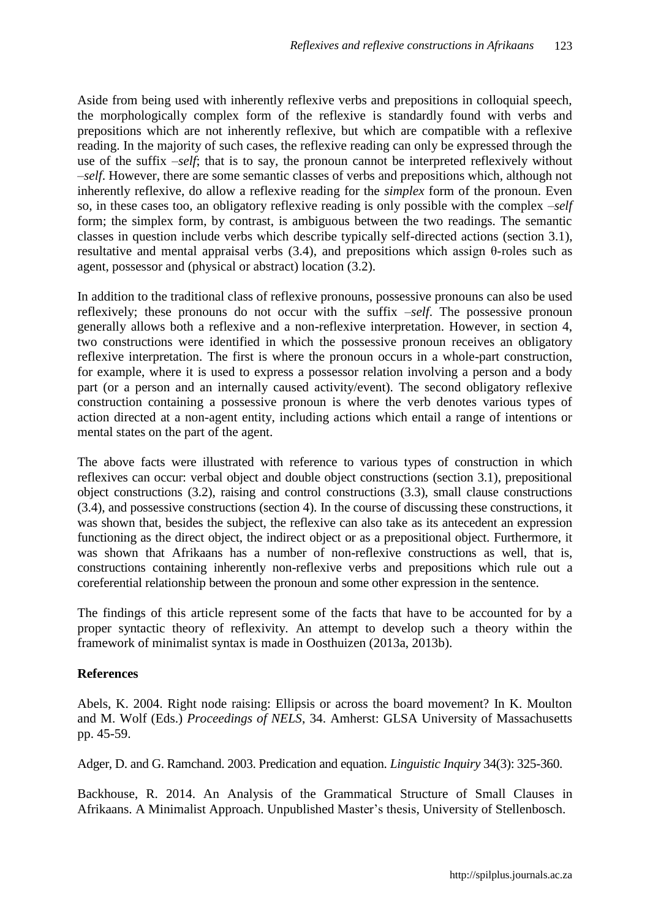Aside from being used with inherently reflexive verbs and prepositions in colloquial speech, the morphologically complex form of the reflexive is standardly found with verbs and prepositions which are not inherently reflexive, but which are compatible with a reflexive reading. In the majority of such cases, the reflexive reading can only be expressed through the use of the suffix  $-self$ ; that is to say, the pronoun cannot be interpreted reflexively without ‒*self*. However, there are some semantic classes of verbs and prepositions which, although not inherently reflexive, do allow a reflexive reading for the *simplex* form of the pronoun. Even so, in these cases too, an obligatory reflexive reading is only possible with the complex  $-self$ form; the simplex form, by contrast, is ambiguous between the two readings. The semantic classes in question include verbs which describe typically self-directed actions (section 3.1), resultative and mental appraisal verbs (3.4), and prepositions which assign θ-roles such as agent, possessor and (physical or abstract) location (3.2).

In addition to the traditional class of reflexive pronouns, possessive pronouns can also be used reflexively; these pronouns do not occur with the suffix  $-self$ . The possessive pronoun generally allows both a reflexive and a non-reflexive interpretation. However, in section 4, two constructions were identified in which the possessive pronoun receives an obligatory reflexive interpretation. The first is where the pronoun occurs in a whole-part construction, for example, where it is used to express a possessor relation involving a person and a body part (or a person and an internally caused activity/event). The second obligatory reflexive construction containing a possessive pronoun is where the verb denotes various types of action directed at a non-agent entity, including actions which entail a range of intentions or mental states on the part of the agent.

The above facts were illustrated with reference to various types of construction in which reflexives can occur: verbal object and double object constructions (section 3.1), prepositional object constructions (3.2), raising and control constructions (3.3), small clause constructions (3.4), and possessive constructions (section 4). In the course of discussing these constructions, it was shown that, besides the subject, the reflexive can also take as its antecedent an expression functioning as the direct object, the indirect object or as a prepositional object. Furthermore, it was shown that Afrikaans has a number of non-reflexive constructions as well, that is, constructions containing inherently non-reflexive verbs and prepositions which rule out a coreferential relationship between the pronoun and some other expression in the sentence.

The findings of this article represent some of the facts that have to be accounted for by a proper syntactic theory of reflexivity. An attempt to develop such a theory within the framework of minimalist syntax is made in Oosthuizen (2013a, 2013b).

### **References**

Abels, K. 2004. Right node raising: Ellipsis or across the board movement? In K. Moulton and M. Wolf (Eds.) *Proceedings of NELS*, 34. Amherst: GLSA University of Massachusetts pp. 45-59.

Adger, D. and G. Ramchand. 2003. Predication and equation. *Linguistic Inquiry* 34(3): 325-360.

Backhouse, R. 2014. An Analysis of the Grammatical Structure of Small Clauses in Afrikaans. A Minimalist Approach. Unpublished Master"s thesis, University of Stellenbosch.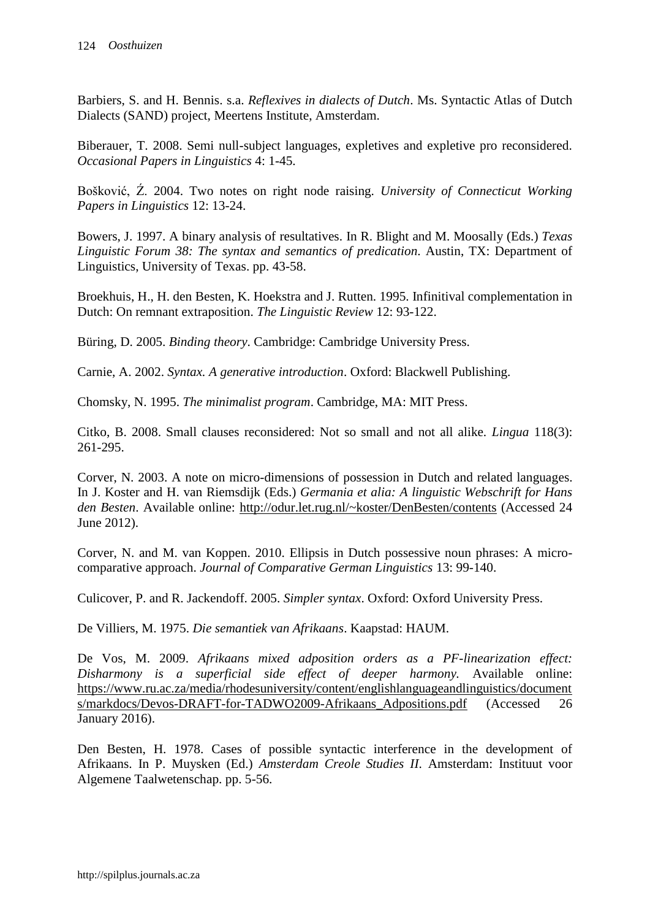Barbiers, S. and H. Bennis. s.a. *Reflexives in dialects of Dutch*. Ms. Syntactic Atlas of Dutch Dialects (SAND) project, Meertens Institute, Amsterdam.

Biberauer, T. 2008. Semi null-subject languages, expletives and expletive pro reconsidered. *Occasional Papers in Linguistics* 4: 1-45.

Bošković, Ź. 2004. Two notes on right node raising. *University of Connecticut Working Papers in Linguistics* 12: 13-24.

Bowers, J. 1997. A binary analysis of resultatives. In R. Blight and M. Moosally (Eds.) *Texas Linguistic Forum 38: The syntax and semantics of predication*. Austin, TX: Department of Linguistics, University of Texas. pp. 43-58.

Broekhuis, H., H. den Besten, K. Hoekstra and J. Rutten. 1995. Infinitival complementation in Dutch: On remnant extraposition. *The Linguistic Review* 12: 93-122.

Büring, D. 2005. *Binding theory*. Cambridge: Cambridge University Press.

Carnie, A. 2002. *Syntax. A generative introduction*. Oxford: Blackwell Publishing.

Chomsky, N. 1995. *The minimalist program*. Cambridge, MA: MIT Press.

Citko, B. 2008. Small clauses reconsidered: Not so small and not all alike. *Lingua* 118(3): 261-295.

Corver, N. 2003. A note on micro-dimensions of possession in Dutch and related languages. In J. Koster and H. van Riemsdijk (Eds.) *Germania et alia: A linguistic Webschrift for Hans den Besten*. Available online:<http://odur.let.rug.nl/~koster/DenBesten/contents> (Accessed 24 June 2012).

Corver, N. and M. van Koppen. 2010. Ellipsis in Dutch possessive noun phrases: A microcomparative approach. *Journal of Comparative German Linguistics* 13: 99-140.

Culicover, P. and R. Jackendoff. 2005. *Simpler syntax*. Oxford: Oxford University Press.

De Villiers, M. 1975. *Die semantiek van Afrikaans*. Kaapstad: HAUM.

De Vos, M. 2009. *Afrikaans mixed adposition orders as a PF-linearization effect: Disharmony is a superficial side effect of deeper harmony.* Available online: [https://www.ru.ac.za/media/rhodesuniversity/content/englishlanguageandlinguistics/document](https://www.ru.ac.za/media/rhodesuniversity/content/englishlanguageandlinguistics/documents/markdocs/Devos-DRAFT-for-TADWO2009-Afrikaans_Adpositions.pdf) [s/markdocs/Devos-DRAFT-for-TADWO2009-Afrikaans\\_Adpositions.pdf](https://www.ru.ac.za/media/rhodesuniversity/content/englishlanguageandlinguistics/documents/markdocs/Devos-DRAFT-for-TADWO2009-Afrikaans_Adpositions.pdf) (Accessed 26 January 2016).

Den Besten, H. 1978. Cases of possible syntactic interference in the development of Afrikaans. In P. Muysken (Ed.) *Amsterdam Creole Studies II*. Amsterdam: Instituut voor Algemene Taalwetenschap. pp. 5-56.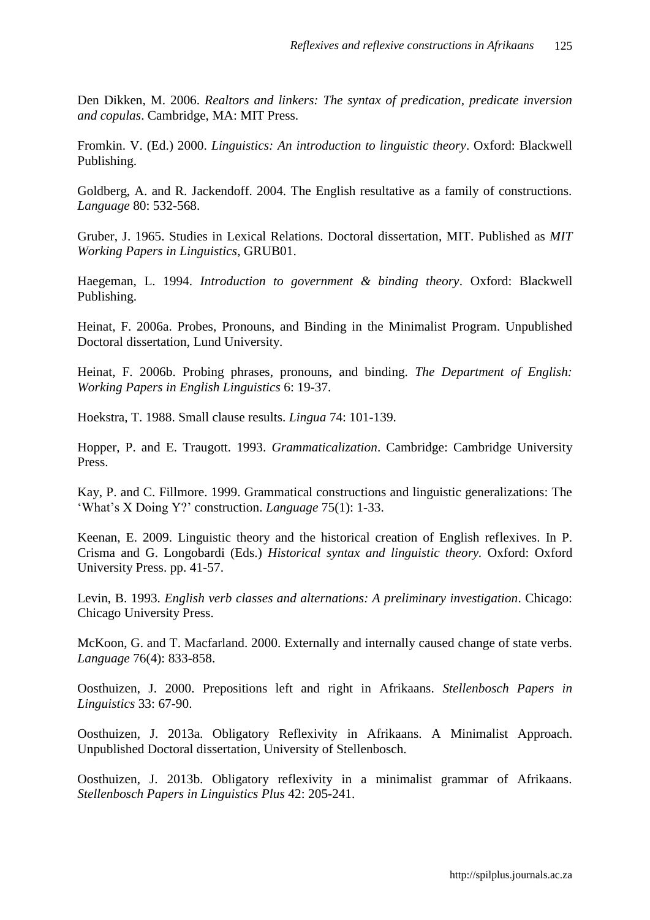Den Dikken, M. 2006. *Realtors and linkers: The syntax of predication, predicate inversion and copulas*. Cambridge, MA: MIT Press.

Fromkin. V. (Ed.) 2000. *Linguistics: An introduction to linguistic theory*. Oxford: Blackwell Publishing.

Goldberg, A. and R. Jackendoff. 2004. The English resultative as a family of constructions. *Language* 80: 532-568.

Gruber, J. 1965. Studies in Lexical Relations. Doctoral dissertation, MIT. Published as *MIT Working Papers in Linguistics*, GRUB01.

Haegeman, L. 1994. *Introduction to government & binding theory*. Oxford: Blackwell Publishing.

Heinat, F. 2006a. Probes, Pronouns, and Binding in the Minimalist Program. Unpublished Doctoral dissertation, Lund University.

Heinat, F. 2006b. Probing phrases, pronouns, and binding. *The Department of English: Working Papers in English Linguistics* 6: 19-37.

Hoekstra, T. 1988. Small clause results. *Lingua* 74: 101-139.

Hopper, P. and E. Traugott. 1993. *Grammaticalization*. Cambridge: Cambridge University Press.

Kay, P. and C. Fillmore. 1999. Grammatical constructions and linguistic generalizations: The "What"s X Doing Y?" construction. *Language* 75(1): 1-33.

Keenan, E. 2009. Linguistic theory and the historical creation of English reflexives. In P. Crisma and G. Longobardi (Eds.) *Historical syntax and linguistic theory.* Oxford: Oxford University Press. pp. 41-57.

Levin, B. 1993. *English verb classes and alternations: A preliminary investigation*. Chicago: Chicago University Press.

McKoon, G. and T. Macfarland. 2000. Externally and internally caused change of state verbs. *Language* 76(4): 833-858.

Oosthuizen, J. 2000. Prepositions left and right in Afrikaans. *Stellenbosch Papers in Linguistics* 33: 67-90.

Oosthuizen, J. 2013a. Obligatory Reflexivity in Afrikaans. A Minimalist Approach. Unpublished Doctoral dissertation, University of Stellenbosch.

Oosthuizen, J. 2013b. Obligatory reflexivity in a minimalist grammar of Afrikaans. *Stellenbosch Papers in Linguistics Plus* 42: 205-241.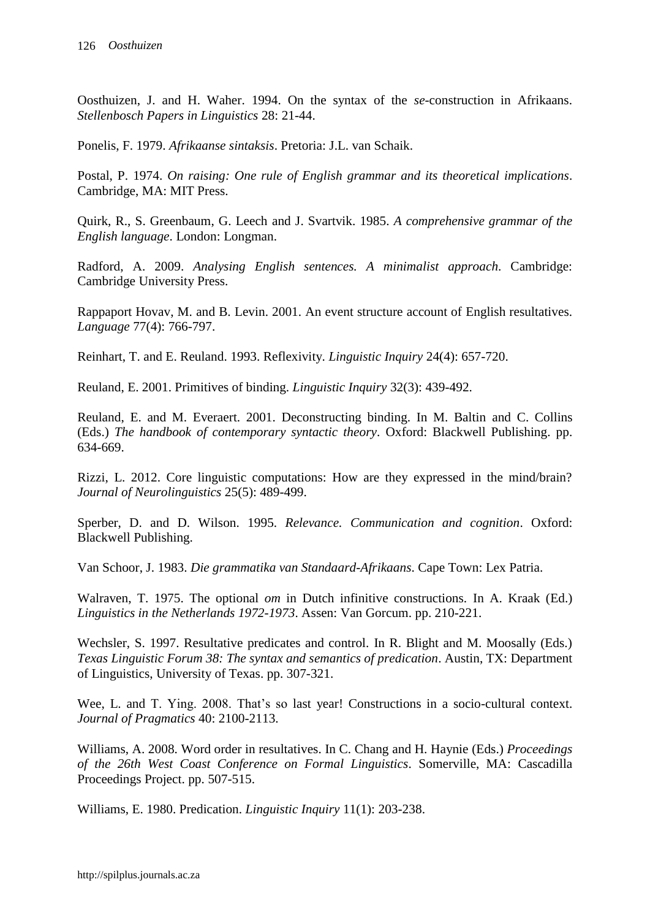Oosthuizen, J. and H. Waher. 1994. On the syntax of the *se*-construction in Afrikaans. *Stellenbosch Papers in Linguistics* 28: 21-44.

Ponelis, F. 1979. *Afrikaanse sintaksis*. Pretoria: J.L. van Schaik.

Postal, P. 1974. *On raising: One rule of English grammar and its theoretical implications*. Cambridge, MA: MIT Press.

Quirk, R., S. Greenbaum, G. Leech and J. Svartvik. 1985. *A comprehensive grammar of the English language*. London: Longman.

Radford, A. 2009. *Analysing English sentences. A minimalist approach*. Cambridge: Cambridge University Press.

Rappaport Hovav, M. and B. Levin. 2001. An event structure account of English resultatives. *Language* 77(4): 766-797.

Reinhart, T. and E. Reuland. 1993. Reflexivity. *Linguistic Inquiry* 24(4): 657-720.

Reuland, E. 2001. Primitives of binding. *Linguistic Inquiry* 32(3): 439-492.

Reuland, E. and M. Everaert. 2001. Deconstructing binding. In M. Baltin and C. Collins (Eds.) *The handbook of contemporary syntactic theory*. Oxford: Blackwell Publishing. pp. 634-669.

Rizzi, L. 2012. Core linguistic computations: How are they expressed in the mind/brain? *Journal of Neurolinguistics* 25(5): 489-499.

Sperber, D. and D. Wilson. 1995. *Relevance. Communication and cognition*. Oxford: Blackwell Publishing.

Van Schoor, J. 1983. *Die grammatika van Standaard-Afrikaans*. Cape Town: Lex Patria.

Walraven, T. 1975. The optional *om* in Dutch infinitive constructions. In A. Kraak (Ed.) *Linguistics in the Netherlands 1972-1973*. Assen: Van Gorcum. pp. 210-221.

Wechsler, S. 1997. Resultative predicates and control. In R. Blight and M. Moosally (Eds.) *Texas Linguistic Forum 38: The syntax and semantics of predication*. Austin, TX: Department of Linguistics, University of Texas. pp. 307-321.

Wee, L. and T. Ying. 2008. That's so last year! Constructions in a socio-cultural context. *Journal of Pragmatics* 40: 2100-2113.

Williams, A. 2008. Word order in resultatives. In C. Chang and H. Haynie (Eds.) *Proceedings of the 26th West Coast Conference on Formal Linguistics*. Somerville, MA: Cascadilla Proceedings Project. pp. 507-515.

Williams, E. 1980. Predication. *Linguistic Inquiry* 11(1): 203-238.